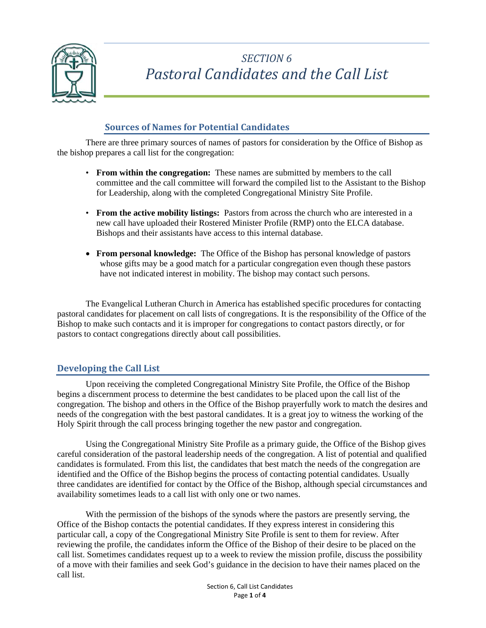

## *SECTION 6 Pastoral Candidates and the Call List*

## **Sources of Names for Potential Candidates**

There are three primary sources of names of pastors for consideration by the Office of Bishop as the bishop prepares a call list for the congregation:

- **From within the congregation:** These names are submitted by members to the call committee and the call committee will forward the compiled list to the Assistant to the Bishop for Leadership, along with the completed Congregational Ministry Site Profile.
- From the active mobility listings: Pastors from across the church who are interested in a new call have uploaded their Rostered Minister Profile (RMP) onto the ELCA database. Bishops and their assistants have access to this internal database.
- **From personal knowledge:** The Office of the Bishop has personal knowledge of pastors whose gifts may be a good match for a particular congregation even though these pastors have not indicated interest in mobility. The bishop may contact such persons.

The Evangelical Lutheran Church in America has established specific procedures for contacting pastoral candidates for placement on call lists of congregations. It is the responsibility of the Office of the Bishop to make such contacts and it is improper for congregations to contact pastors directly, or for pastors to contact congregations directly about call possibilities.

### **Developing the Call List**

Upon receiving the completed Congregational Ministry Site Profile, the Office of the Bishop begins a discernment process to determine the best candidates to be placed upon the call list of the congregation. The bishop and others in the Office of the Bishop prayerfully work to match the desires and needs of the congregation with the best pastoral candidates. It is a great joy to witness the working of the Holy Spirit through the call process bringing together the new pastor and congregation.

Using the Congregational Ministry Site Profile as a primary guide, the Office of the Bishop gives careful consideration of the pastoral leadership needs of the congregation. A list of potential and qualified candidates is formulated. From this list, the candidates that best match the needs of the congregation are identified and the Office of the Bishop begins the process of contacting potential candidates. Usually three candidates are identified for contact by the Office of the Bishop, although special circumstances and availability sometimes leads to a call list with only one or two names.

With the permission of the bishops of the synods where the pastors are presently serving, the Office of the Bishop contacts the potential candidates. If they express interest in considering this particular call, a copy of the Congregational Ministry Site Profile is sent to them for review. After reviewing the profile, the candidates inform the Office of the Bishop of their desire to be placed on the call list. Sometimes candidates request up to a week to review the mission profile, discuss the possibility of a move with their families and seek God's guidance in the decision to have their names placed on the call list.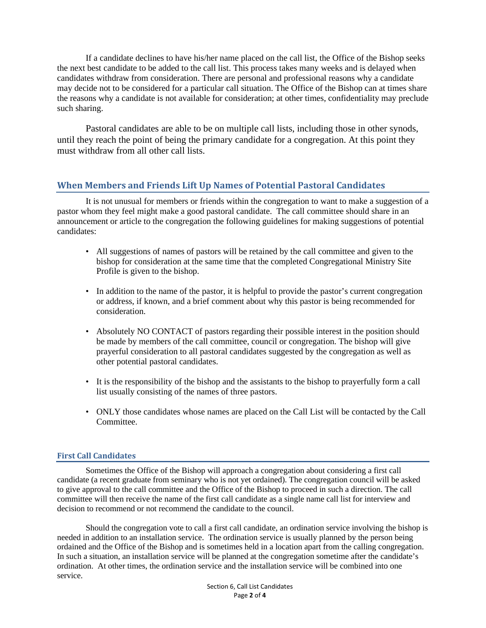If a candidate declines to have his/her name placed on the call list, the Office of the Bishop seeks the next best candidate to be added to the call list. This process takes many weeks and is delayed when candidates withdraw from consideration. There are personal and professional reasons why a candidate may decide not to be considered for a particular call situation. The Office of the Bishop can at times share the reasons why a candidate is not available for consideration; at other times, confidentiality may preclude such sharing.

Pastoral candidates are able to be on multiple call lists, including those in other synods, until they reach the point of being the primary candidate for a congregation. At this point they must withdraw from all other call lists.

### **When Members and Friends Lift Up Names of Potential Pastoral Candidates**

 It is not unusual for members or friends within the congregation to want to make a suggestion of a pastor whom they feel might make a good pastoral candidate. The call committee should share in an announcement or article to the congregation the following guidelines for making suggestions of potential candidates:

- All suggestions of names of pastors will be retained by the call committee and given to the bishop for consideration at the same time that the completed Congregational Ministry Site Profile is given to the bishop.
- In addition to the name of the pastor, it is helpful to provide the pastor's current congregation or address, if known, and a brief comment about why this pastor is being recommended for consideration.
- Absolutely NO CONTACT of pastors regarding their possible interest in the position should be made by members of the call committee, council or congregation. The bishop will give prayerful consideration to all pastoral candidates suggested by the congregation as well as other potential pastoral candidates.
- It is the responsibility of the bishop and the assistants to the bishop to prayerfully form a call list usually consisting of the names of three pastors.
- ONLY those candidates whose names are placed on the Call List will be contacted by the Call Committee.

#### **First Call Candidates**

Sometimes the Office of the Bishop will approach a congregation about considering a first call candidate (a recent graduate from seminary who is not yet ordained). The congregation council will be asked to give approval to the call committee and the Office of the Bishop to proceed in such a direction. The call committee will then receive the name of the first call candidate as a single name call list for interview and decision to recommend or not recommend the candidate to the council.

Should the congregation vote to call a first call candidate, an ordination service involving the bishop is needed in addition to an installation service. The ordination service is usually planned by the person being ordained and the Office of the Bishop and is sometimes held in a location apart from the calling congregation. In such a situation, an installation service will be planned at the congregation sometime after the candidate's ordination. At other times, the ordination service and the installation service will be combined into one service.

> Section 6, Call List Candidates Page **2** of **4**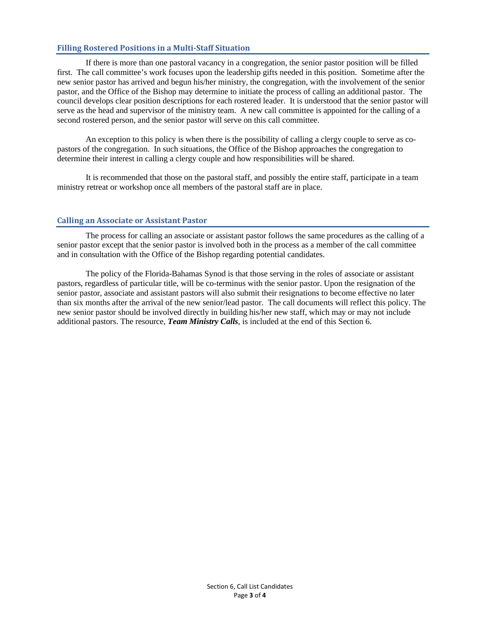#### **Filling Rostered Positions in a Multi-Staff Situation**

If there is more than one pastoral vacancy in a congregation, the senior pastor position will be filled first. The call committee's work focuses upon the leadership gifts needed in this position. Sometime after the new senior pastor has arrived and begun his/her ministry, the congregation, with the involvement of the senior pastor, and the Office of the Bishop may determine to initiate the process of calling an additional pastor. The council develops clear position descriptions for each rostered leader. It is understood that the senior pastor will serve as the head and supervisor of the ministry team. A new call committee is appointed for the calling of a second rostered person, and the senior pastor will serve on this call committee.

An exception to this policy is when there is the possibility of calling a clergy couple to serve as copastors of the congregation. In such situations, the Office of the Bishop approaches the congregation to determine their interest in calling a clergy couple and how responsibilities will be shared.

It is recommended that those on the pastoral staff, and possibly the entire staff, participate in a team ministry retreat or workshop once all members of the pastoral staff are in place.

#### **Calling an Associate or Assistant Pastor**

The process for calling an associate or assistant pastor follows the same procedures as the calling of a senior pastor except that the senior pastor is involved both in the process as a member of the call committee and in consultation with the Office of the Bishop regarding potential candidates.

The policy of the Florida-Bahamas Synod is that those serving in the roles of associate or assistant pastors, regardless of particular title, will be co-terminus with the senior pastor. Upon the resignation of the senior pastor, associate and assistant pastors will also submit their resignations to become effective no later than six months after the arrival of the new senior/lead pastor. The call documents will reflect this policy. The new senior pastor should be involved directly in building his/her new staff, which may or may not include additional pastors. The resource, *Team Ministry Calls*, is included at the end of this Section 6.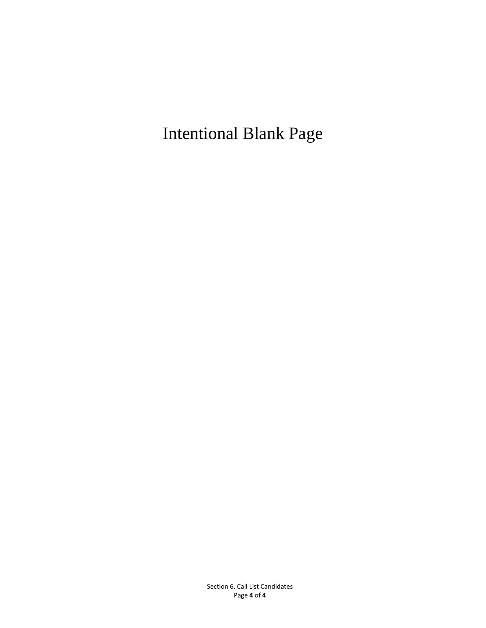Intentional Blank Page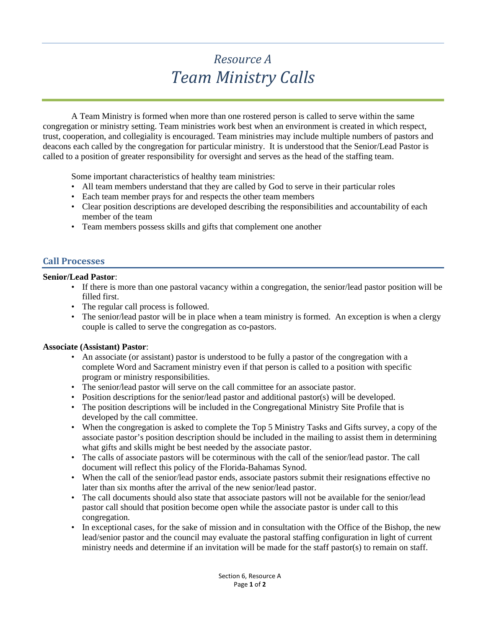## *Resource A Team Ministry Calls*

A Team Ministry is formed when more than one rostered person is called to serve within the same congregation or ministry setting. Team ministries work best when an environment is created in which respect, trust, cooperation, and collegiality is encouraged. Team ministries may include multiple numbers of pastors and deacons each called by the congregation for particular ministry. It is understood that the Senior/Lead Pastor is called to a position of greater responsibility for oversight and serves as the head of the staffing team.

Some important characteristics of healthy team ministries:

- All team members understand that they are called by God to serve in their particular roles
- Each team member prays for and respects the other team members
- Clear position descriptions are developed describing the responsibilities and accountability of each member of the team
- Team members possess skills and gifts that complement one another

### **Call Processes**

#### **Senior/Lead Pastor**:

- If there is more than one pastoral vacancy within a congregation, the senior/lead pastor position will be filled first.
- The regular call process is followed.
- The senior/lead pastor will be in place when a team ministry is formed. An exception is when a clergy couple is called to serve the congregation as co-pastors.

#### **Associate (Assistant) Pastor**:

- An associate (or assistant) pastor is understood to be fully a pastor of the congregation with a complete Word and Sacrament ministry even if that person is called to a position with specific program or ministry responsibilities.
- The senior/lead pastor will serve on the call committee for an associate pastor.
- Position descriptions for the senior/lead pastor and additional pastor(s) will be developed.
- The position descriptions will be included in the Congregational Ministry Site Profile that is developed by the call committee.
- When the congregation is asked to complete the Top 5 Ministry Tasks and Gifts survey, a copy of the associate pastor's position description should be included in the mailing to assist them in determining what gifts and skills might be best needed by the associate pastor.
- The calls of associate pastors will be coterminous with the call of the senior/lead pastor. The call document will reflect this policy of the Florida-Bahamas Synod.
- When the call of the senior/lead pastor ends, associate pastors submit their resignations effective no later than six months after the arrival of the new senior/lead pastor.
- The call documents should also state that associate pastors will not be available for the senior/lead pastor call should that position become open while the associate pastor is under call to this congregation.
- In exceptional cases, for the sake of mission and in consultation with the Office of the Bishop, the new lead/senior pastor and the council may evaluate the pastoral staffing configuration in light of current ministry needs and determine if an invitation will be made for the staff pastor(s) to remain on staff.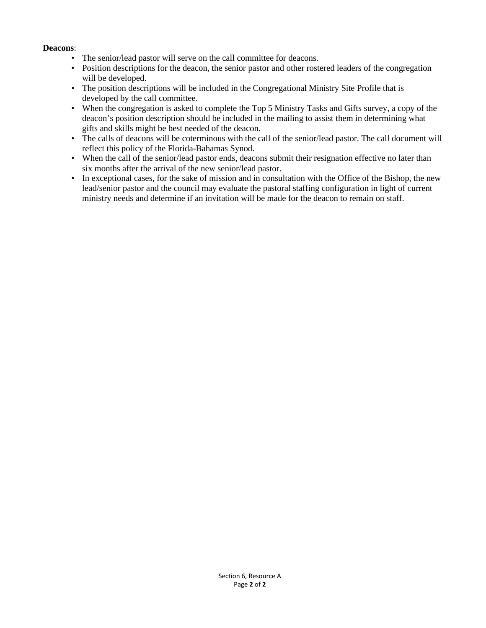#### **Deacons**:

- The senior/lead pastor will serve on the call committee for deacons.
- Position descriptions for the deacon, the senior pastor and other rostered leaders of the congregation will be developed.
- The position descriptions will be included in the Congregational Ministry Site Profile that is developed by the call committee.
- When the congregation is asked to complete the Top 5 Ministry Tasks and Gifts survey, a copy of the deacon's position description should be included in the mailing to assist them in determining what gifts and skills might be best needed of the deacon.
- The calls of deacons will be coterminous with the call of the senior/lead pastor. The call document will reflect this policy of the Florida-Bahamas Synod.
- When the call of the senior/lead pastor ends, deacons submit their resignation effective no later than six months after the arrival of the new senior/lead pastor.
- In exceptional cases, for the sake of mission and in consultation with the Office of the Bishop, the new lead/senior pastor and the council may evaluate the pastoral staffing configuration in light of current ministry needs and determine if an invitation will be made for the deacon to remain on staff.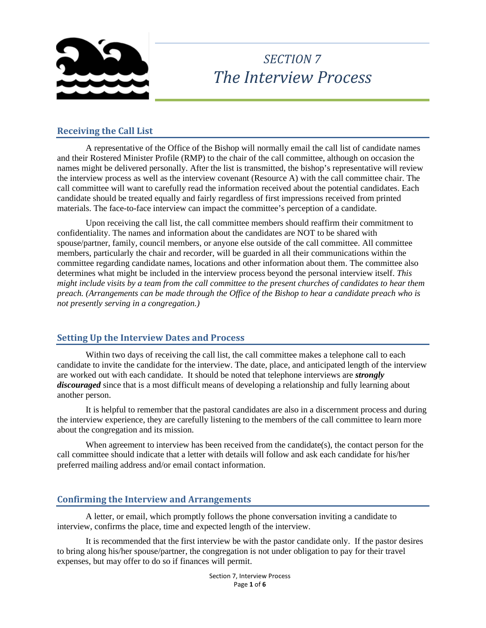

## *SECTION 7 The Interview Process*

### **Receiving the Call List**

A representative of the Office of the Bishop will normally email the call list of candidate names and their Rostered Minister Profile (RMP) to the chair of the call committee, although on occasion the names might be delivered personally. After the list is transmitted, the bishop's representative will review the interview process as well as the interview covenant (Resource A) with the call committee chair. The call committee will want to carefully read the information received about the potential candidates. Each candidate should be treated equally and fairly regardless of first impressions received from printed materials. The face-to-face interview can impact the committee's perception of a candidate.

Upon receiving the call list, the call committee members should reaffirm their commitment to confidentiality. The names and information about the candidates are NOT to be shared with spouse/partner, family, council members, or anyone else outside of the call committee. All committee members, particularly the chair and recorder, will be guarded in all their communications within the committee regarding candidate names, locations and other information about them. The committee also determines what might be included in the interview process beyond the personal interview itself. *This might include visits by a team from the call committee to the present churches of candidates to hear them preach. (Arrangements can be made through the Office of the Bishop to hear a candidate preach who is not presently serving in a congregation.)*

### **Setting Up the Interview Dates and Process**

Within two days of receiving the call list, the call committee makes a telephone call to each candidate to invite the candidate for the interview. The date, place, and anticipated length of the interview are worked out with each candidate. It should be noted that telephone interviews are *strongly discouraged* since that is a most difficult means of developing a relationship and fully learning about another person.

It is helpful to remember that the pastoral candidates are also in a discernment process and during the interview experience, they are carefully listening to the members of the call committee to learn more about the congregation and its mission.

When agreement to interview has been received from the candidate $(s)$ , the contact person for the call committee should indicate that a letter with details will follow and ask each candidate for his/her preferred mailing address and/or email contact information.

#### **Confirming the Interview and Arrangements**

A letter, or email, which promptly follows the phone conversation inviting a candidate to interview, confirms the place, time and expected length of the interview.

It is recommended that the first interview be with the pastor candidate only. If the pastor desires to bring along his/her spouse/partner, the congregation is not under obligation to pay for their travel expenses, but may offer to do so if finances will permit.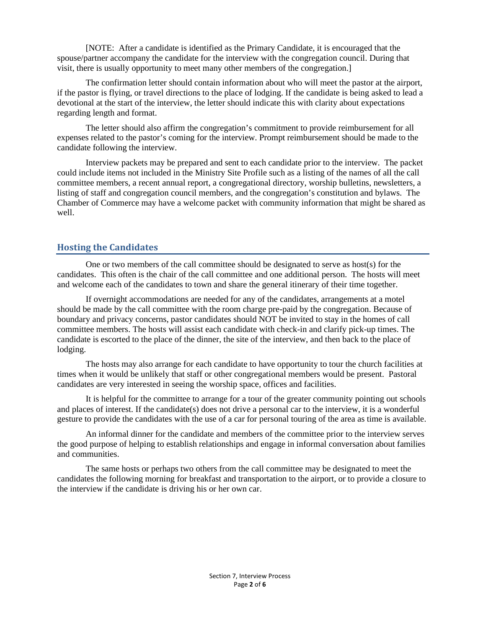[NOTE: After a candidate is identified as the Primary Candidate, it is encouraged that the spouse/partner accompany the candidate for the interview with the congregation council. During that visit, there is usually opportunity to meet many other members of the congregation.]

The confirmation letter should contain information about who will meet the pastor at the airport, if the pastor is flying, or travel directions to the place of lodging. If the candidate is being asked to lead a devotional at the start of the interview, the letter should indicate this with clarity about expectations regarding length and format.

The letter should also affirm the congregation's commitment to provide reimbursement for all expenses related to the pastor's coming for the interview. Prompt reimbursement should be made to the candidate following the interview.

Interview packets may be prepared and sent to each candidate prior to the interview. The packet could include items not included in the Ministry Site Profile such as a listing of the names of all the call committee members, a recent annual report, a congregational directory, worship bulletins, newsletters, a listing of staff and congregation council members, and the congregation's constitution and bylaws. The Chamber of Commerce may have a welcome packet with community information that might be shared as well.

#### **Hosting the Candidates**

One or two members of the call committee should be designated to serve as host(s) for the candidates. This often is the chair of the call committee and one additional person. The hosts will meet and welcome each of the candidates to town and share the general itinerary of their time together.

If overnight accommodations are needed for any of the candidates, arrangements at a motel should be made by the call committee with the room charge pre-paid by the congregation. Because of boundary and privacy concerns, pastor candidates should NOT be invited to stay in the homes of call committee members. The hosts will assist each candidate with check-in and clarify pick-up times. The candidate is escorted to the place of the dinner, the site of the interview, and then back to the place of lodging.

The hosts may also arrange for each candidate to have opportunity to tour the church facilities at times when it would be unlikely that staff or other congregational members would be present. Pastoral candidates are very interested in seeing the worship space, offices and facilities.

It is helpful for the committee to arrange for a tour of the greater community pointing out schools and places of interest. If the candidate(s) does not drive a personal car to the interview, it is a wonderful gesture to provide the candidates with the use of a car for personal touring of the area as time is available.

An informal dinner for the candidate and members of the committee prior to the interview serves the good purpose of helping to establish relationships and engage in informal conversation about families and communities.

The same hosts or perhaps two others from the call committee may be designated to meet the candidates the following morning for breakfast and transportation to the airport, or to provide a closure to the interview if the candidate is driving his or her own car.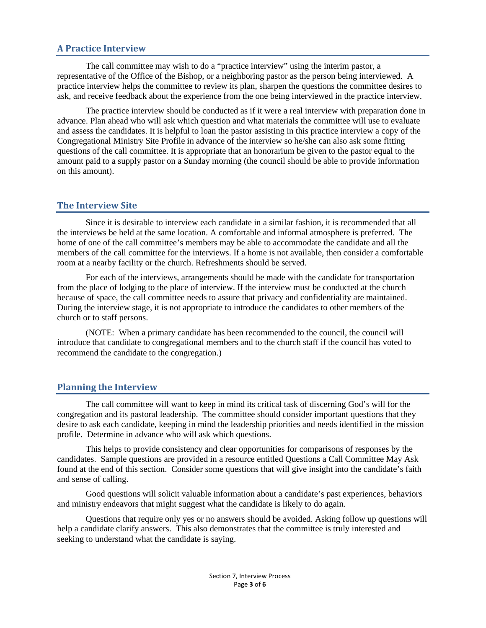#### **A Practice Interview**

The call committee may wish to do a "practice interview" using the interim pastor, a representative of the Office of the Bishop, or a neighboring pastor as the person being interviewed. A practice interview helps the committee to review its plan, sharpen the questions the committee desires to ask, and receive feedback about the experience from the one being interviewed in the practice interview.

The practice interview should be conducted as if it were a real interview with preparation done in advance. Plan ahead who will ask which question and what materials the committee will use to evaluate and assess the candidates. It is helpful to loan the pastor assisting in this practice interview a copy of the Congregational Ministry Site Profile in advance of the interview so he/she can also ask some fitting questions of the call committee. It is appropriate that an honorarium be given to the pastor equal to the amount paid to a supply pastor on a Sunday morning (the council should be able to provide information on this amount).

#### **The Interview Site**

Since it is desirable to interview each candidate in a similar fashion, it is recommended that all the interviews be held at the same location. A comfortable and informal atmosphere is preferred. The home of one of the call committee's members may be able to accommodate the candidate and all the members of the call committee for the interviews. If a home is not available, then consider a comfortable room at a nearby facility or the church. Refreshments should be served.

For each of the interviews, arrangements should be made with the candidate for transportation from the place of lodging to the place of interview. If the interview must be conducted at the church because of space, the call committee needs to assure that privacy and confidentiality are maintained. During the interview stage, it is not appropriate to introduce the candidates to other members of the church or to staff persons.

(NOTE: When a primary candidate has been recommended to the council, the council will introduce that candidate to congregational members and to the church staff if the council has voted to recommend the candidate to the congregation.)

#### **Planning the Interview**

The call committee will want to keep in mind its critical task of discerning God's will for the congregation and its pastoral leadership. The committee should consider important questions that they desire to ask each candidate, keeping in mind the leadership priorities and needs identified in the mission profile. Determine in advance who will ask which questions.

This helps to provide consistency and clear opportunities for comparisons of responses by the candidates. Sample questions are provided in a resource entitled Questions a Call Committee May Ask found at the end of this section. Consider some questions that will give insight into the candidate's faith and sense of calling.

Good questions will solicit valuable information about a candidate's past experiences, behaviors and ministry endeavors that might suggest what the candidate is likely to do again.

Questions that require only yes or no answers should be avoided. Asking follow up questions will help a candidate clarify answers. This also demonstrates that the committee is truly interested and seeking to understand what the candidate is saying.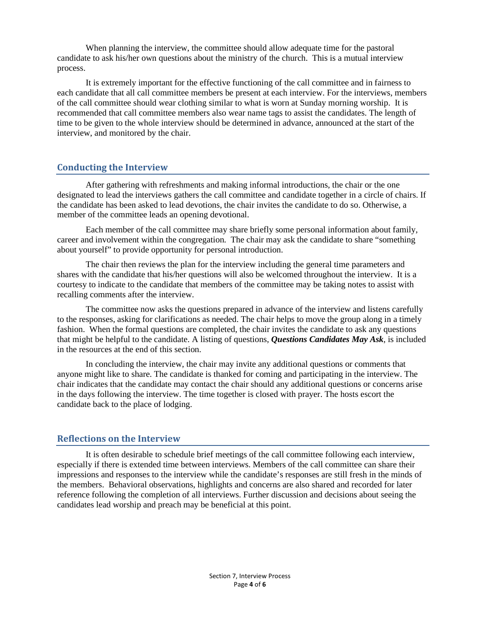When planning the interview, the committee should allow adequate time for the pastoral candidate to ask his/her own questions about the ministry of the church. This is a mutual interview process.

It is extremely important for the effective functioning of the call committee and in fairness to each candidate that all call committee members be present at each interview. For the interviews, members of the call committee should wear clothing similar to what is worn at Sunday morning worship. It is recommended that call committee members also wear name tags to assist the candidates. The length of time to be given to the whole interview should be determined in advance, announced at the start of the interview, and monitored by the chair.

#### **Conducting the Interview**

After gathering with refreshments and making informal introductions, the chair or the one designated to lead the interviews gathers the call committee and candidate together in a circle of chairs. If the candidate has been asked to lead devotions, the chair invites the candidate to do so. Otherwise, a member of the committee leads an opening devotional.

Each member of the call committee may share briefly some personal information about family, career and involvement within the congregation. The chair may ask the candidate to share "something about yourself" to provide opportunity for personal introduction.

The chair then reviews the plan for the interview including the general time parameters and shares with the candidate that his/her questions will also be welcomed throughout the interview. It is a courtesy to indicate to the candidate that members of the committee may be taking notes to assist with recalling comments after the interview.

The committee now asks the questions prepared in advance of the interview and listens carefully to the responses, asking for clarifications as needed. The chair helps to move the group along in a timely fashion. When the formal questions are completed, the chair invites the candidate to ask any questions that might be helpful to the candidate. A listing of questions, *Questions Candidates May Ask*, is included in the resources at the end of this section.

In concluding the interview, the chair may invite any additional questions or comments that anyone might like to share. The candidate is thanked for coming and participating in the interview. The chair indicates that the candidate may contact the chair should any additional questions or concerns arise in the days following the interview. The time together is closed with prayer. The hosts escort the candidate back to the place of lodging.

#### **Reflections on the Interview**

It is often desirable to schedule brief meetings of the call committee following each interview, especially if there is extended time between interviews. Members of the call committee can share their impressions and responses to the interview while the candidate's responses are still fresh in the minds of the members. Behavioral observations, highlights and concerns are also shared and recorded for later reference following the completion of all interviews. Further discussion and decisions about seeing the candidates lead worship and preach may be beneficial at this point.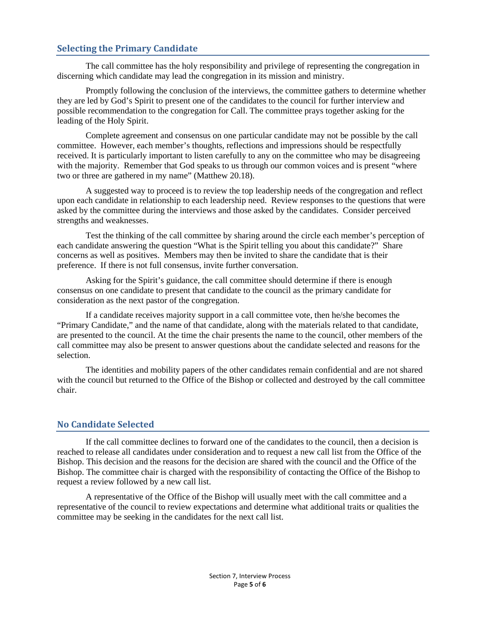### **Selecting the Primary Candidate**

The call committee has the holy responsibility and privilege of representing the congregation in discerning which candidate may lead the congregation in its mission and ministry.

Promptly following the conclusion of the interviews, the committee gathers to determine whether they are led by God's Spirit to present one of the candidates to the council for further interview and possible recommendation to the congregation for Call. The committee prays together asking for the leading of the Holy Spirit.

Complete agreement and consensus on one particular candidate may not be possible by the call committee. However, each member's thoughts, reflections and impressions should be respectfully received. It is particularly important to listen carefully to any on the committee who may be disagreeing with the majority. Remember that God speaks to us through our common voices and is present "where two or three are gathered in my name" (Matthew 20.18).

A suggested way to proceed is to review the top leadership needs of the congregation and reflect upon each candidate in relationship to each leadership need. Review responses to the questions that were asked by the committee during the interviews and those asked by the candidates. Consider perceived strengths and weaknesses.

Test the thinking of the call committee by sharing around the circle each member's perception of each candidate answering the question "What is the Spirit telling you about this candidate?" Share concerns as well as positives. Members may then be invited to share the candidate that is their preference. If there is not full consensus, invite further conversation.

Asking for the Spirit's guidance, the call committee should determine if there is enough consensus on one candidate to present that candidate to the council as the primary candidate for consideration as the next pastor of the congregation.

If a candidate receives majority support in a call committee vote, then he/she becomes the "Primary Candidate," and the name of that candidate, along with the materials related to that candidate, are presented to the council. At the time the chair presents the name to the council, other members of the call committee may also be present to answer questions about the candidate selected and reasons for the selection.

The identities and mobility papers of the other candidates remain confidential and are not shared with the council but returned to the Office of the Bishop or collected and destroyed by the call committee chair.

#### **No Candidate Selected**

If the call committee declines to forward one of the candidates to the council, then a decision is reached to release all candidates under consideration and to request a new call list from the Office of the Bishop. This decision and the reasons for the decision are shared with the council and the Office of the Bishop. The committee chair is charged with the responsibility of contacting the Office of the Bishop to request a review followed by a new call list.

A representative of the Office of the Bishop will usually meet with the call committee and a representative of the council to review expectations and determine what additional traits or qualities the committee may be seeking in the candidates for the next call list.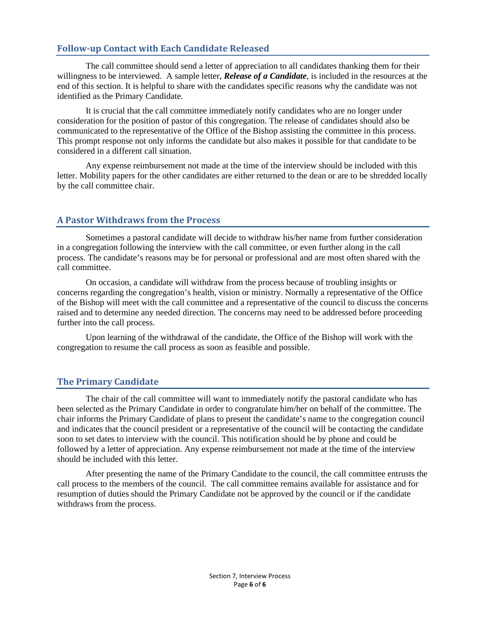### **Follow-up Contact with Each Candidate Released**

The call committee should send a letter of appreciation to all candidates thanking them for their willingness to be interviewed. A sample letter, *Release of a Candidate*, is included in the resources at the end of this section. It is helpful to share with the candidates specific reasons why the candidate was not identified as the Primary Candidate.

It is crucial that the call committee immediately notify candidates who are no longer under consideration for the position of pastor of this congregation. The release of candidates should also be communicated to the representative of the Office of the Bishop assisting the committee in this process. This prompt response not only informs the candidate but also makes it possible for that candidate to be considered in a different call situation.

Any expense reimbursement not made at the time of the interview should be included with this letter. Mobility papers for the other candidates are either returned to the dean or are to be shredded locally by the call committee chair.

#### **A Pastor Withdraws from the Process**

Sometimes a pastoral candidate will decide to withdraw his/her name from further consideration in a congregation following the interview with the call committee, or even further along in the call process. The candidate's reasons may be for personal or professional and are most often shared with the call committee.

On occasion, a candidate will withdraw from the process because of troubling insights or concerns regarding the congregation's health, vision or ministry. Normally a representative of the Office of the Bishop will meet with the call committee and a representative of the council to discuss the concerns raised and to determine any needed direction. The concerns may need to be addressed before proceeding further into the call process.

Upon learning of the withdrawal of the candidate, the Office of the Bishop will work with the congregation to resume the call process as soon as feasible and possible.

#### **The Primary Candidate**

The chair of the call committee will want to immediately notify the pastoral candidate who has been selected as the Primary Candidate in order to congratulate him/her on behalf of the committee. The chair informs the Primary Candidate of plans to present the candidate's name to the congregation council and indicates that the council president or a representative of the council will be contacting the candidate soon to set dates to interview with the council. This notification should be by phone and could be followed by a letter of appreciation. Any expense reimbursement not made at the time of the interview should be included with this letter.

After presenting the name of the Primary Candidate to the council, the call committee entrusts the call process to the members of the council. The call committee remains available for assistance and for resumption of duties should the Primary Candidate not be approved by the council or if the candidate withdraws from the process.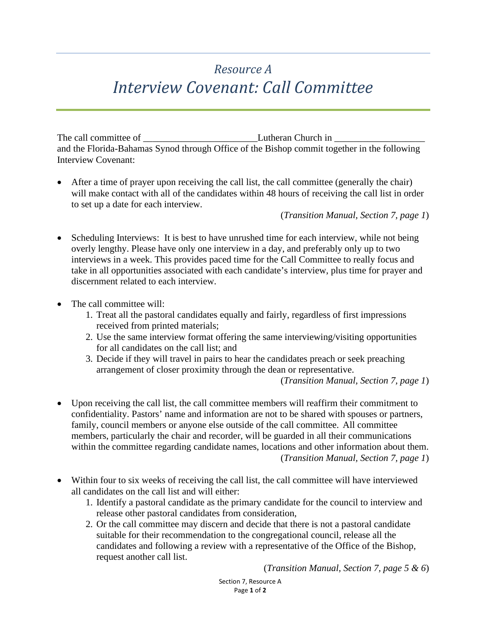## *Resource A Interview Covenant: Call Committee*

The call committee of \_\_\_\_\_\_\_\_\_\_\_\_\_\_\_\_\_\_\_\_\_\_\_\_Lutheran Church in \_\_\_\_\_\_\_\_\_\_\_\_\_\_\_\_\_\_\_ and the Florida-Bahamas Synod through Office of the Bishop commit together in the following Interview Covenant:

After a time of prayer upon receiving the call list, the call committee (generally the chair) will make contact with all of the candidates within 48 hours of receiving the call list in order to set up a date for each interview.

(*Transition Manual, Section 7, page 1*)

- Scheduling Interviews: It is best to have unrushed time for each interview, while not being overly lengthy. Please have only one interview in a day, and preferably only up to two interviews in a week. This provides paced time for the Call Committee to really focus and take in all opportunities associated with each candidate's interview, plus time for prayer and discernment related to each interview.
- The call committee will:
	- 1. Treat all the pastoral candidates equally and fairly, regardless of first impressions received from printed materials;
	- 2. Use the same interview format offering the same interviewing/visiting opportunities for all candidates on the call list; and
	- 3. Decide if they will travel in pairs to hear the candidates preach or seek preaching arrangement of closer proximity through the dean or representative.

(*Transition Manual, Section 7, page 1*)

- Upon receiving the call list, the call committee members will reaffirm their commitment to confidentiality. Pastors' name and information are not to be shared with spouses or partners, family, council members or anyone else outside of the call committee. All committee members, particularly the chair and recorder, will be guarded in all their communications within the committee regarding candidate names, locations and other information about them. (*Transition Manual, Section 7, page 1*)
- Within four to six weeks of receiving the call list, the call committee will have interviewed all candidates on the call list and will either:
	- 1. Identify a pastoral candidate as the primary candidate for the council to interview and release other pastoral candidates from consideration,
	- 2. Or the call committee may discern and decide that there is not a pastoral candidate suitable for their recommendation to the congregational council, release all the candidates and following a review with a representative of the Office of the Bishop, request another call list.

(*Transition Manual, Section 7, page 5 & 6*)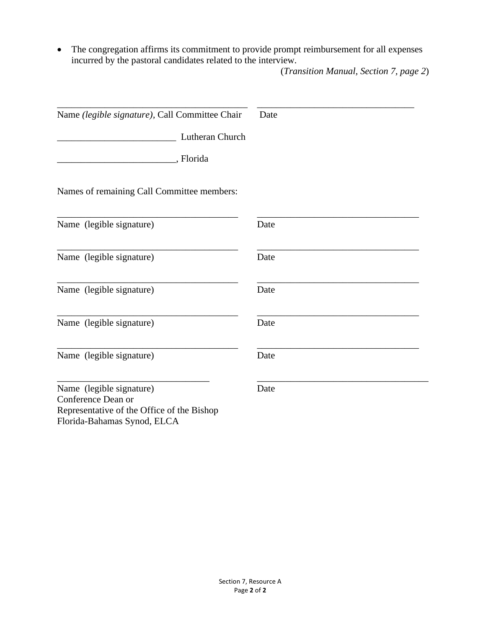• The congregation affirms its commitment to provide prompt reimbursement for all expenses incurred by the pastoral candidates related to the interview.

(*Transition Manual, Section 7, page 2*)

| Name (legible signature), Call Committee Chair | Date |
|------------------------------------------------|------|
| Lutheran Church                                |      |
| , Florida                                      |      |
| Names of remaining Call Committee members:     |      |
| Name (legible signature)                       | Date |
| Name (legible signature)                       | Date |
| Name (legible signature)                       | Date |
| Name (legible signature)                       | Date |
| Name (legible signature)                       | Date |
| Name (legible signature)<br>Conference Dean or | Date |
| Representative of the Office of the Bishop     |      |

Florida-Bahamas Synod, ELCA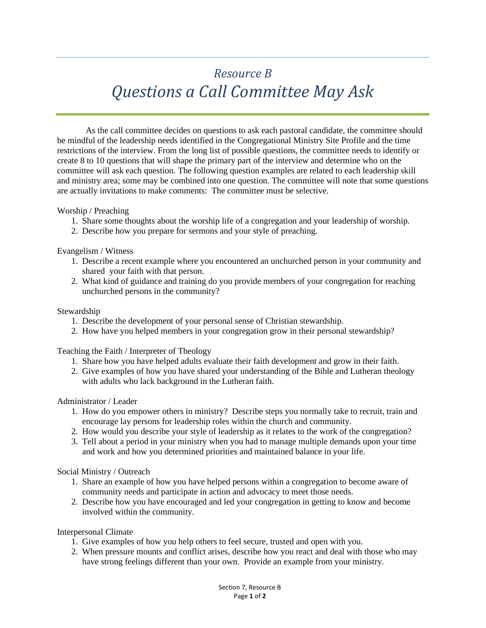## *Resource B Questions a Call Committee May Ask*

As the call committee decides on questions to ask each pastoral candidate, the committee should be mindful of the leadership needs identified in the Congregational Ministry Site Profile and the time restrictions of the interview. From the long list of possible questions, the committee needs to identify or create 8 to 10 questions that will shape the primary part of the interview and determine who on the committee will ask each question. The following question examples are related to each leadership skill and ministry area; some may be combined into one question. The committee will note that some questions are actually invitations to make comments: The committee must be selective.

#### Worship / Preaching

- 1. Share some thoughts about the worship life of a congregation and your leadership of worship.
- 2. Describe how you prepare for sermons and your style of preaching.

#### Evangelism / Witness

- 1. Describe a recent example where you encountered an unchurched person in your community and shared your faith with that person.
- 2. What kind of guidance and training do you provide members of your congregation for reaching unchurched persons in the community?

#### Stewardship

- 1. Describe the development of your personal sense of Christian stewardship.
- 2. How have you helped members in your congregation grow in their personal stewardship?

Teaching the Faith / Interpreter of Theology

- 1. Share how you have helped adults evaluate their faith development and grow in their faith.
- 2. Give examples of how you have shared your understanding of the Bible and Lutheran theology with adults who lack background in the Lutheran faith.

#### Administrator / Leader

- 1. How do you empower others in ministry? Describe steps you normally take to recruit, train and encourage lay persons for leadership roles within the church and community.
- 2. How would you describe your style of leadership as it relates to the work of the congregation?
- 3. Tell about a period in your ministry when you had to manage multiple demands upon your time and work and how you determined priorities and maintained balance in your life.

#### Social Ministry / Outreach

- 1. Share an example of how you have helped persons within a congregation to become aware of community needs and participate in action and advocacy to meet those needs.
- 2. Describe how you have encouraged and led your congregation in getting to know and become involved within the community.

#### Interpersonal Climate

- 1. Give examples of how you help others to feel secure, trusted and open with you.
- 2. When pressure mounts and conflict arises, describe how you react and deal with those who may have strong feelings different than your own. Provide an example from your ministry.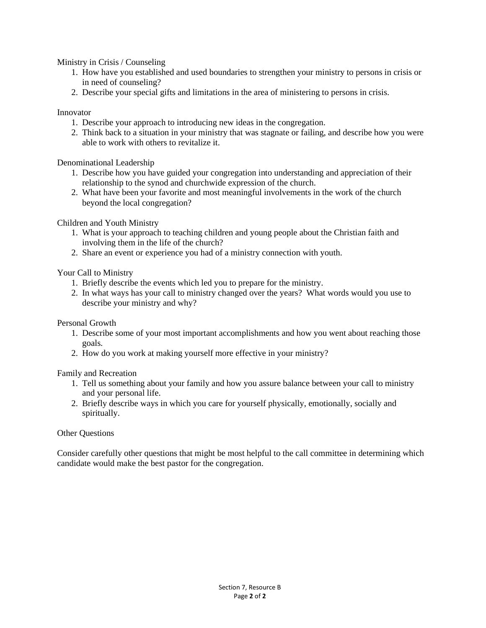Ministry in Crisis / Counseling

- 1. How have you established and used boundaries to strengthen your ministry to persons in crisis or in need of counseling?
- 2. Describe your special gifts and limitations in the area of ministering to persons in crisis.

#### Innovator

- 1. Describe your approach to introducing new ideas in the congregation.
- 2. Think back to a situation in your ministry that was stagnate or failing, and describe how you were able to work with others to revitalize it.

#### Denominational Leadership

- 1. Describe how you have guided your congregation into understanding and appreciation of their relationship to the synod and churchwide expression of the church.
- 2. What have been your favorite and most meaningful involvements in the work of the church beyond the local congregation?

#### Children and Youth Ministry

- 1. What is your approach to teaching children and young people about the Christian faith and involving them in the life of the church?
- 2. Share an event or experience you had of a ministry connection with youth.

#### Your Call to Ministry

- 1. Briefly describe the events which led you to prepare for the ministry.
- 2. In what ways has your call to ministry changed over the years? What words would you use to describe your ministry and why?

#### Personal Growth

- 1. Describe some of your most important accomplishments and how you went about reaching those goals.
- 2. How do you work at making yourself more effective in your ministry?

#### Family and Recreation

- 1. Tell us something about your family and how you assure balance between your call to ministry and your personal life.
- 2. Briefly describe ways in which you care for yourself physically, emotionally, socially and spiritually.

#### Other Questions

Consider carefully other questions that might be most helpful to the call committee in determining which candidate would make the best pastor for the congregation.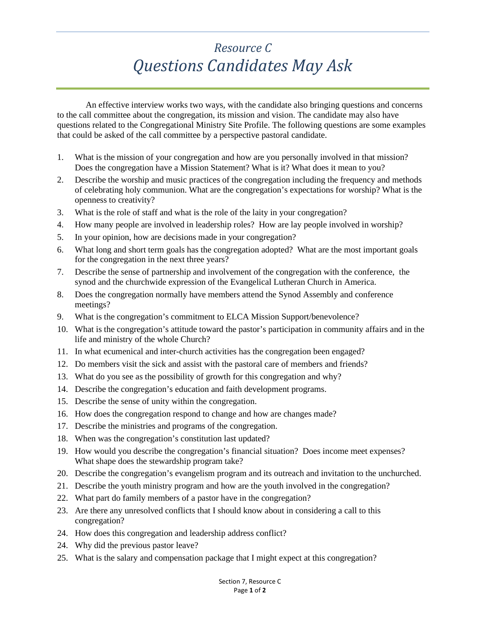## *Resource C Questions Candidates May Ask*

An effective interview works two ways, with the candidate also bringing questions and concerns to the call committee about the congregation, its mission and vision. The candidate may also have questions related to the Congregational Ministry Site Profile. The following questions are some examples that could be asked of the call committee by a perspective pastoral candidate.

- 1. What is the mission of your congregation and how are you personally involved in that mission? Does the congregation have a Mission Statement? What is it? What does it mean to you?
- 2. Describe the worship and music practices of the congregation including the frequency and methods of celebrating holy communion. What are the congregation's expectations for worship? What is the openness to creativity?
- 3. What is the role of staff and what is the role of the laity in your congregation?
- 4. How many people are involved in leadership roles? How are lay people involved in worship?
- 5. In your opinion, how are decisions made in your congregation?
- 6. What long and short term goals has the congregation adopted? What are the most important goals for the congregation in the next three years?
- 7. Describe the sense of partnership and involvement of the congregation with the conference, the synod and the churchwide expression of the Evangelical Lutheran Church in America.
- 8. Does the congregation normally have members attend the Synod Assembly and conference meetings?
- 9. What is the congregation's commitment to ELCA Mission Support/benevolence?
- 10. What is the congregation's attitude toward the pastor's participation in community affairs and in the life and ministry of the whole Church?
- 11. In what ecumenical and inter-church activities has the congregation been engaged?
- 12. Do members visit the sick and assist with the pastoral care of members and friends?
- 13. What do you see as the possibility of growth for this congregation and why?
- 14. Describe the congregation's education and faith development programs.
- 15. Describe the sense of unity within the congregation.
- 16. How does the congregation respond to change and how are changes made?
- 17. Describe the ministries and programs of the congregation.
- 18. When was the congregation's constitution last updated?
- 19. How would you describe the congregation's financial situation? Does income meet expenses? What shape does the stewardship program take?
- 20. Describe the congregation's evangelism program and its outreach and invitation to the unchurched.
- 21. Describe the youth ministry program and how are the youth involved in the congregation?
- 22. What part do family members of a pastor have in the congregation?
- 23. Are there any unresolved conflicts that I should know about in considering a call to this congregation?
- 24. How does this congregation and leadership address conflict?
- 24. Why did the previous pastor leave?
- 25. What is the salary and compensation package that I might expect at this congregation?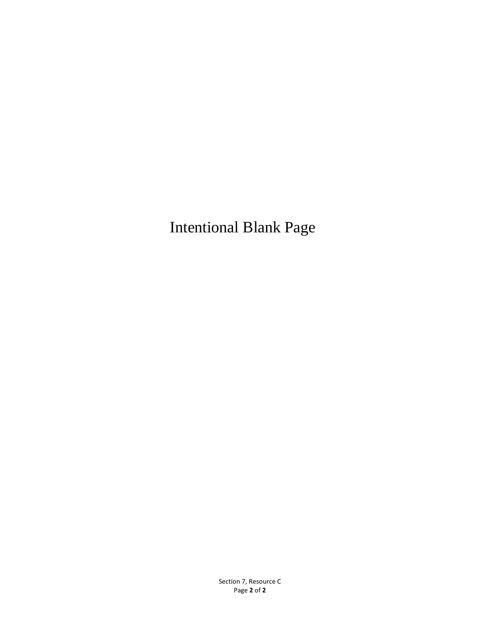Intentional Blank Page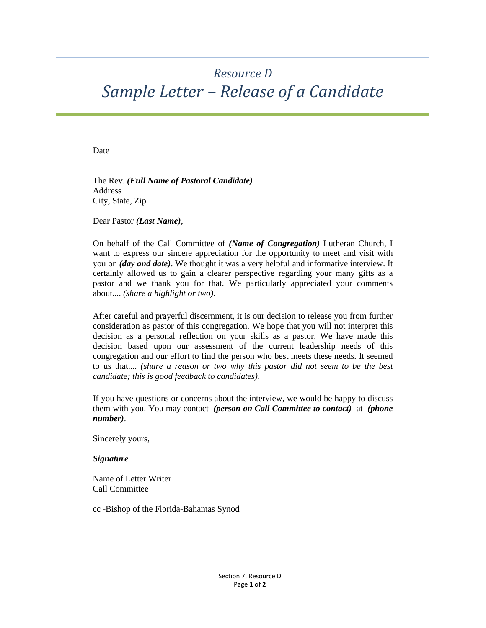## *Resource D Sample Letter – Release of a Candidate*

Date

The Rev. *(Full Name of Pastoral Candidate)* Address City, State, Zip

Dear Pastor *(Last Name)*,

On behalf of the Call Committee of *(Name of Congregation)* Lutheran Church, I want to express our sincere appreciation for the opportunity to meet and visit with you on *(day and date)*. We thought it was a very helpful and informative interview. It certainly allowed us to gain a clearer perspective regarding your many gifts as a pastor and we thank you for that. We particularly appreciated your comments about.... *(share a highlight or two)*.

After careful and prayerful discernment, it is our decision to release you from further consideration as pastor of this congregation. We hope that you will not interpret this decision as a personal reflection on your skills as a pastor. We have made this decision based upon our assessment of the current leadership needs of this congregation and our effort to find the person who best meets these needs. It seemed to us that.... *(share a reason or two why this pastor did not seem to be the best candidate; this is good feedback to candidates)*.

If you have questions or concerns about the interview, we would be happy to discuss them with you. You may contact *(person on Call Committee to contact)* at *(phone number)*.

Sincerely yours,

*Signature* 

Name of Letter Writer Call Committee

cc -Bishop of the Florida-Bahamas Synod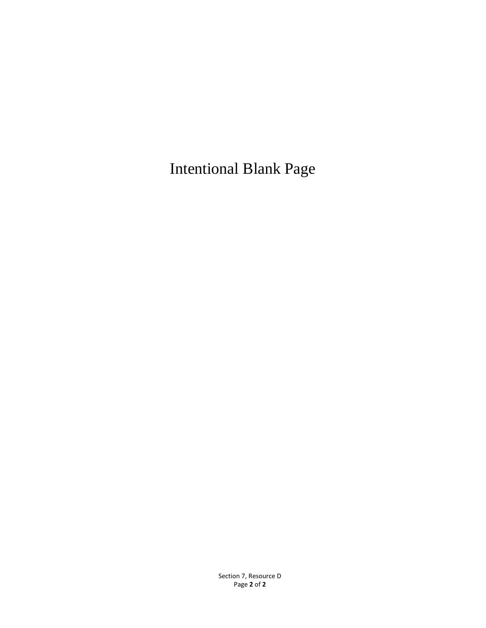Intentional Blank Page

Section 7, Resource D Page **2** of **2**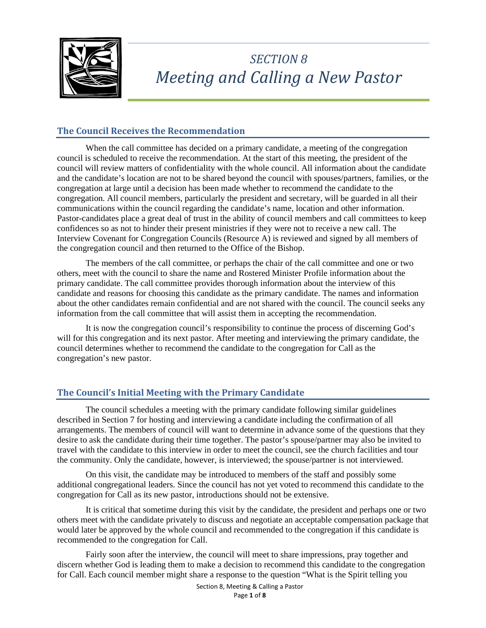

## *SECTION 8 Meeting and Calling a New Pastor*

## **The Council Receives the Recommendation**

When the call committee has decided on a primary candidate, a meeting of the congregation council is scheduled to receive the recommendation. At the start of this meeting, the president of the council will review matters of confidentiality with the whole council. All information about the candidate and the candidate's location are not to be shared beyond the council with spouses/partners, families, or the congregation at large until a decision has been made whether to recommend the candidate to the congregation. All council members, particularly the president and secretary, will be guarded in all their communications within the council regarding the candidate's name, location and other information. Pastor-candidates place a great deal of trust in the ability of council members and call committees to keep confidences so as not to hinder their present ministries if they were not to receive a new call. The Interview Covenant for Congregation Councils (Resource A) is reviewed and signed by all members of the congregation council and then returned to the Office of the Bishop.

The members of the call committee, or perhaps the chair of the call committee and one or two others, meet with the council to share the name and Rostered Minister Profile information about the primary candidate. The call committee provides thorough information about the interview of this candidate and reasons for choosing this candidate as the primary candidate. The names and information about the other candidates remain confidential and are not shared with the council. The council seeks any information from the call committee that will assist them in accepting the recommendation.

It is now the congregation council's responsibility to continue the process of discerning God's will for this congregation and its next pastor. After meeting and interviewing the primary candidate, the council determines whether to recommend the candidate to the congregation for Call as the congregation's new pastor.

### **The Council's Initial Meeting with the Primary Candidate**

The council schedules a meeting with the primary candidate following similar guidelines described in Section 7 for hosting and interviewing a candidate including the confirmation of all arrangements. The members of council will want to determine in advance some of the questions that they desire to ask the candidate during their time together. The pastor's spouse/partner may also be invited to travel with the candidate to this interview in order to meet the council, see the church facilities and tour the community. Only the candidate, however, is interviewed; the spouse/partner is not interviewed.

On this visit, the candidate may be introduced to members of the staff and possibly some additional congregational leaders. Since the council has not yet voted to recommend this candidate to the congregation for Call as its new pastor, introductions should not be extensive.

It is critical that sometime during this visit by the candidate, the president and perhaps one or two others meet with the candidate privately to discuss and negotiate an acceptable compensation package that would later be approved by the whole council and recommended to the congregation if this candidate is recommended to the congregation for Call.

Fairly soon after the interview, the council will meet to share impressions, pray together and discern whether God is leading them to make a decision to recommend this candidate to the congregation for Call. Each council member might share a response to the question "What is the Spirit telling you

> Section 8, Meeting & Calling a Pastor Page **1** of **8**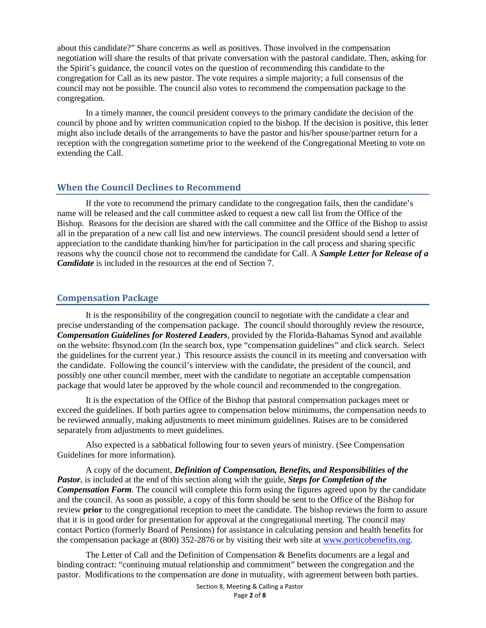about this candidate?" Share concerns as well as positives. Those involved in the compensation negotiation will share the results of that private conversation with the pastoral candidate. Then, asking for the Spirit's guidance, the council votes on the question of recommending this candidate to the congregation for Call as its new pastor. The vote requires a simple majority; a full consensus of the council may not be possible. The council also votes to recommend the compensation package to the congregation.

In a timely manner, the council president conveys to the primary candidate the decision of the council by phone and by written communication copied to the bishop. If the decision is positive, this letter might also include details of the arrangements to have the pastor and his/her spouse/partner return for a reception with the congregation sometime prior to the weekend of the Congregational Meeting to vote on extending the Call.

#### **When the Council Declines to Recommend**

If the vote to recommend the primary candidate to the congregation fails, then the candidate's name will be released and the call committee asked to request a new call list from the Office of the Bishop. Reasons for the decision are shared with the call committee and the Office of the Bishop to assist all in the preparation of a new call list and new interviews. The council president should send a letter of appreciation to the candidate thanking him/her for participation in the call process and sharing specific reasons why the council chose not to recommend the candidate for Call. A *Sample Letter for Release of a Candidate* is included in the resources at the end of Section 7.

#### **Compensation Package**

It is the responsibility of the congregation council to negotiate with the candidate a clear and precise understanding of the compensation package. The council should thoroughly review the resource, *Compensation Guidelines for Rostered Leaders*, provided by the Florida-Bahamas Synod and available on the website: fbsynod.com (In the search box, type "compensation guidelines" and click search. Select the guidelines for the current year.) This resource assists the council in its meeting and conversation with the candidate. Following the council's interview with the candidate, the president of the council, and possibly one other council member, meet with the candidate to negotiate an acceptable compensation package that would later be approved by the whole council and recommended to the congregation.

It is the expectation of the Office of the Bishop that pastoral compensation packages meet or exceed the guidelines. If both parties agree to compensation below minimums, the compensation needs to be reviewed annually, making adjustments to meet minimum guidelines. Raises are to be considered separately from adjustments to meet guidelines.

Also expected is a sabbatical following four to seven years of ministry. (See Compensation Guidelines for more information).

A copy of the document, *Definition of Compensation, Benefits, and Responsibilities of the Pastor*, is included at the end of this section along with the guide, *Steps for Completion of the Compensation Form*. The council will complete this form using the figures agreed upon by the candidate and the council. As soon as possible, a copy of this form should be sent to the Office of the Bishop for review **prior** to the congregational reception to meet the candidate. The bishop reviews the form to assure that it is in good order for presentation for approval at the congregational meeting. The council may contact Portico (formerly Board of Pensions) for assistance in calculating pension and health benefits for the compensation package at (800) 352-2876 or by visiting their web site at [www.porticobenefits.org.](http://www.porticobenefits.org/)

The Letter of Call and the Definition of Compensation & Benefits documents are a legal and binding contract: "continuing mutual relationship and commitment" between the congregation and the pastor. Modifications to the compensation are done in mutuality, with agreement between both parties.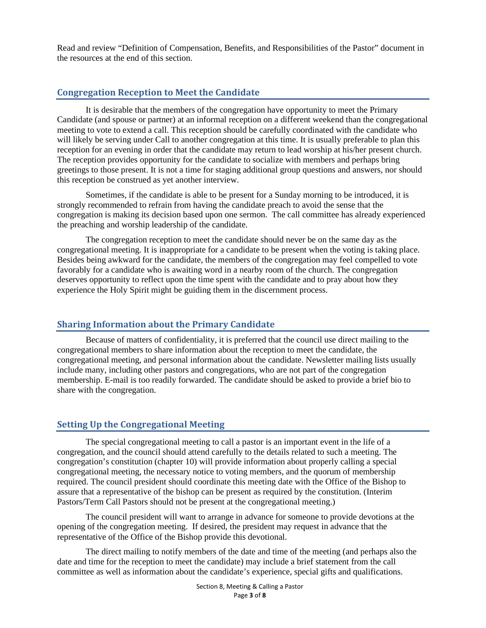Read and review "Definition of Compensation, Benefits, and Responsibilities of the Pastor" document in the resources at the end of this section.

#### **Congregation Reception to Meet the Candidate**

It is desirable that the members of the congregation have opportunity to meet the Primary Candidate (and spouse or partner) at an informal reception on a different weekend than the congregational meeting to vote to extend a call. This reception should be carefully coordinated with the candidate who will likely be serving under Call to another congregation at this time. It is usually preferable to plan this reception for an evening in order that the candidate may return to lead worship at his/her present church. The reception provides opportunity for the candidate to socialize with members and perhaps bring greetings to those present. It is not a time for staging additional group questions and answers, nor should this reception be construed as yet another interview.

Sometimes, if the candidate is able to be present for a Sunday morning to be introduced, it is strongly recommended to refrain from having the candidate preach to avoid the sense that the congregation is making its decision based upon one sermon. The call committee has already experienced the preaching and worship leadership of the candidate.

The congregation reception to meet the candidate should never be on the same day as the congregational meeting. It is inappropriate for a candidate to be present when the voting is taking place. Besides being awkward for the candidate, the members of the congregation may feel compelled to vote favorably for a candidate who is awaiting word in a nearby room of the church. The congregation deserves opportunity to reflect upon the time spent with the candidate and to pray about how they experience the Holy Spirit might be guiding them in the discernment process.

#### **Sharing Information about the Primary Candidate**

Because of matters of confidentiality, it is preferred that the council use direct mailing to the congregational members to share information about the reception to meet the candidate, the congregational meeting, and personal information about the candidate. Newsletter mailing lists usually include many, including other pastors and congregations, who are not part of the congregation membership. E-mail is too readily forwarded. The candidate should be asked to provide a brief bio to share with the congregation.

#### **Setting Up the Congregational Meeting**

The special congregational meeting to call a pastor is an important event in the life of a congregation, and the council should attend carefully to the details related to such a meeting. The congregation's constitution (chapter 10) will provide information about properly calling a special congregational meeting, the necessary notice to voting members, and the quorum of membership required. The council president should coordinate this meeting date with the Office of the Bishop to assure that a representative of the bishop can be present as required by the constitution. (Interim Pastors/Term Call Pastors should not be present at the congregational meeting.)

The council president will want to arrange in advance for someone to provide devotions at the opening of the congregation meeting. If desired, the president may request in advance that the representative of the Office of the Bishop provide this devotional.

The direct mailing to notify members of the date and time of the meeting (and perhaps also the date and time for the reception to meet the candidate) may include a brief statement from the call committee as well as information about the candidate's experience, special gifts and qualifications.

> Section 8, Meeting & Calling a Pastor Page **3** of **8**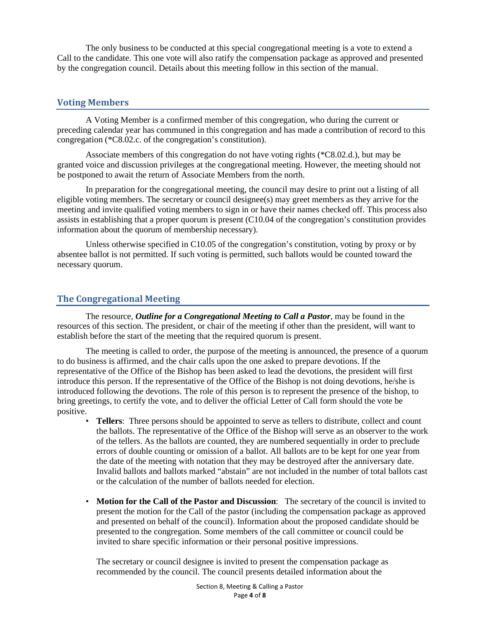The only business to be conducted at this special congregational meeting is a vote to extend a Call to the candidate. This one vote will also ratify the compensation package as approved and presented by the congregation council. Details about this meeting follow in this section of the manual.

#### **Voting Members**

A Voting Member is a confirmed member of this congregation, who during the current or preceding calendar year has communed in this congregation and has made a contribution of record to this congregation (\*C8.02.c. of the congregation's constitution).

Associate members of this congregation do not have voting rights (\*C8.02.d.), but may be granted voice and discussion privileges at the congregational meeting. However, the meeting should not be postponed to await the return of Associate Members from the north.

In preparation for the congregational meeting, the council may desire to print out a listing of all eligible voting members. The secretary or council designee(s) may greet members as they arrive for the meeting and invite qualified voting members to sign in or have their names checked off. This process also assists in establishing that a proper quorum is present (C10.04 of the congregation's constitution provides information about the quorum of membership necessary).

Unless otherwise specified in C10.05 of the congregation's constitution, voting by proxy or by absentee ballot is not permitted. If such voting is permitted, such ballots would be counted toward the necessary quorum.

#### **The Congregational Meeting**

The resource, *Outline for a Congregational Meeting to Call a Pastor*, may be found in the resources of this section. The president, or chair of the meeting if other than the president, will want to establish before the start of the meeting that the required quorum is present.

The meeting is called to order, the purpose of the meeting is announced, the presence of a quorum to do business is affirmed, and the chair calls upon the one asked to prepare devotions. If the representative of the Office of the Bishop has been asked to lead the devotions, the president will first introduce this person. If the representative of the Office of the Bishop is not doing devotions, he/she is introduced following the devotions. The role of this person is to represent the presence of the bishop, to bring greetings, to certify the vote, and to deliver the official Letter of Call form should the vote be positive.

- **Tellers**: Three persons should be appointed to serve as tellers to distribute, collect and count the ballots. The representative of the Office of the Bishop will serve as an observer to the work of the tellers. As the ballots are counted, they are numbered sequentially in order to preclude errors of double counting or omission of a ballot. All ballots are to be kept for one year from the date of the meeting with notation that they may be destroyed after the anniversary date. Invalid ballots and ballots marked "abstain" are not included in the number of total ballots cast or the calculation of the number of ballots needed for election.
- **Motion for the Call of the Pastor and Discussion**: The secretary of the council is invited to present the motion for the Call of the pastor (including the compensation package as approved and presented on behalf of the council). Information about the proposed candidate should be presented to the congregation. Some members of the call committee or council could be invited to share specific information or their personal positive impressions.

The secretary or council designee is invited to present the compensation package as recommended by the council. The council presents detailed information about the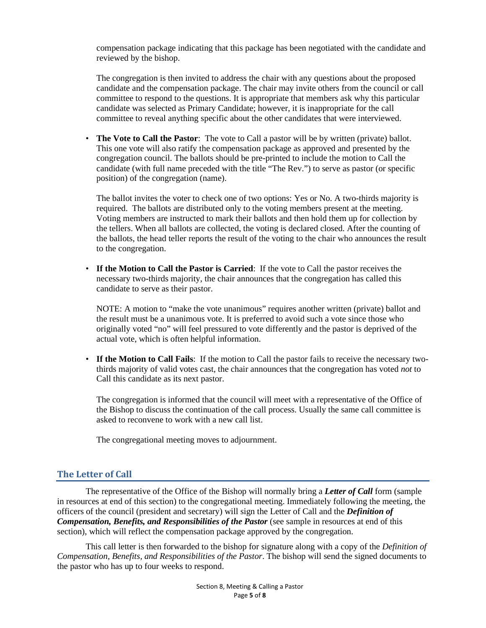compensation package indicating that this package has been negotiated with the candidate and reviewed by the bishop.

The congregation is then invited to address the chair with any questions about the proposed candidate and the compensation package. The chair may invite others from the council or call committee to respond to the questions. It is appropriate that members ask why this particular candidate was selected as Primary Candidate; however, it is inappropriate for the call committee to reveal anything specific about the other candidates that were interviewed.

• **The Vote to Call the Pastor**: The vote to Call a pastor will be by written (private) ballot. This one vote will also ratify the compensation package as approved and presented by the congregation council. The ballots should be pre-printed to include the motion to Call the candidate (with full name preceded with the title "The Rev.") to serve as pastor (or specific position) of the congregation (name).

The ballot invites the voter to check one of two options: Yes or No. A two-thirds majority is required. The ballots are distributed only to the voting members present at the meeting. Voting members are instructed to mark their ballots and then hold them up for collection by the tellers. When all ballots are collected, the voting is declared closed. After the counting of the ballots, the head teller reports the result of the voting to the chair who announces the result to the congregation.

• **If the Motion to Call the Pastor is Carried**: If the vote to Call the pastor receives the necessary two-thirds majority, the chair announces that the congregation has called this candidate to serve as their pastor.

NOTE: A motion to "make the vote unanimous" requires another written (private) ballot and the result must be a unanimous vote. It is preferred to avoid such a vote since those who originally voted "no" will feel pressured to vote differently and the pastor is deprived of the actual vote, which is often helpful information.

• **If the Motion to Call Fails**: If the motion to Call the pastor fails to receive the necessary twothirds majority of valid votes cast, the chair announces that the congregation has voted *not* to Call this candidate as its next pastor.

The congregation is informed that the council will meet with a representative of the Office of the Bishop to discuss the continuation of the call process. Usually the same call committee is asked to reconvene to work with a new call list.

The congregational meeting moves to adjournment.

#### **The Letter of Call**

The representative of the Office of the Bishop will normally bring a *Letter of Call* form (sample in resources at end of this section) to the congregational meeting. Immediately following the meeting, the officers of the council (president and secretary) will sign the Letter of Call and the *Definition of Compensation, Benefits, and Responsibilities of the Pastor* (see sample in resources at end of this section), which will reflect the compensation package approved by the congregation.

This call letter is then forwarded to the bishop for signature along with a copy of the *Definition of Compensation, Benefits, and Responsibilities of the Pastor*. The bishop will send the signed documents to the pastor who has up to four weeks to respond.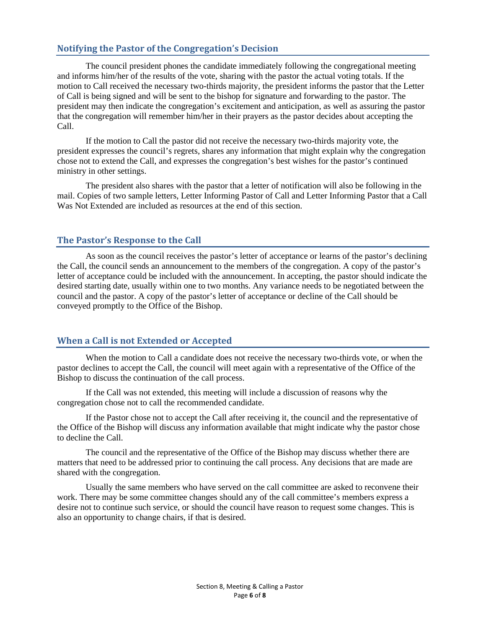### **Notifying the Pastor of the Congregation's Decision**

The council president phones the candidate immediately following the congregational meeting and informs him/her of the results of the vote, sharing with the pastor the actual voting totals. If the motion to Call received the necessary two-thirds majority, the president informs the pastor that the Letter of Call is being signed and will be sent to the bishop for signature and forwarding to the pastor. The president may then indicate the congregation's excitement and anticipation, as well as assuring the pastor that the congregation will remember him/her in their prayers as the pastor decides about accepting the Call.

If the motion to Call the pastor did not receive the necessary two-thirds majority vote, the president expresses the council's regrets, shares any information that might explain why the congregation chose not to extend the Call, and expresses the congregation's best wishes for the pastor's continued ministry in other settings.

The president also shares with the pastor that a letter of notification will also be following in the mail. Copies of two sample letters, Letter Informing Pastor of Call and Letter Informing Pastor that a Call Was Not Extended are included as resources at the end of this section.

#### **The Pastor's Response to the Call**

As soon as the council receives the pastor's letter of acceptance or learns of the pastor's declining the Call, the council sends an announcement to the members of the congregation. A copy of the pastor's letter of acceptance could be included with the announcement. In accepting, the pastor should indicate the desired starting date, usually within one to two months. Any variance needs to be negotiated between the council and the pastor. A copy of the pastor's letter of acceptance or decline of the Call should be conveyed promptly to the Office of the Bishop.

#### **When a Call is not Extended or Accepted**

When the motion to Call a candidate does not receive the necessary two-thirds vote, or when the pastor declines to accept the Call, the council will meet again with a representative of the Office of the Bishop to discuss the continuation of the call process.

If the Call was not extended, this meeting will include a discussion of reasons why the congregation chose not to call the recommended candidate.

If the Pastor chose not to accept the Call after receiving it, the council and the representative of the Office of the Bishop will discuss any information available that might indicate why the pastor chose to decline the Call.

The council and the representative of the Office of the Bishop may discuss whether there are matters that need to be addressed prior to continuing the call process. Any decisions that are made are shared with the congregation.

Usually the same members who have served on the call committee are asked to reconvene their work. There may be some committee changes should any of the call committee's members express a desire not to continue such service, or should the council have reason to request some changes. This is also an opportunity to change chairs, if that is desired.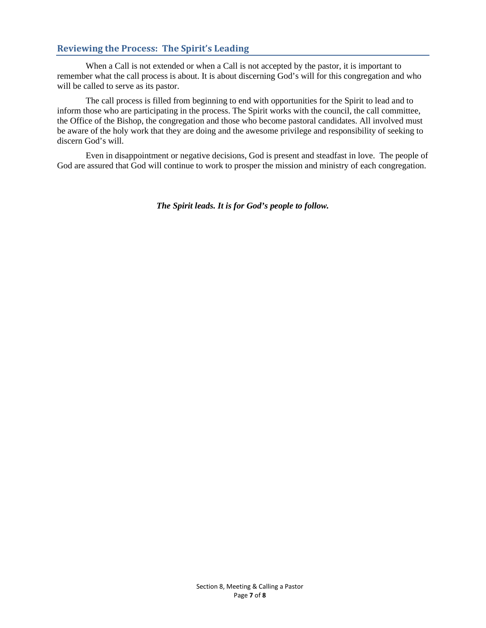### **Reviewing the Process: The Spirit's Leading**

When a Call is not extended or when a Call is not accepted by the pastor, it is important to remember what the call process is about. It is about discerning God's will for this congregation and who will be called to serve as its pastor.

The call process is filled from beginning to end with opportunities for the Spirit to lead and to inform those who are participating in the process. The Spirit works with the council, the call committee, the Office of the Bishop, the congregation and those who become pastoral candidates. All involved must be aware of the holy work that they are doing and the awesome privilege and responsibility of seeking to discern God's will.

Even in disappointment or negative decisions, God is present and steadfast in love. The people of God are assured that God will continue to work to prosper the mission and ministry of each congregation.

*The Spirit leads. It is for God's people to follow.*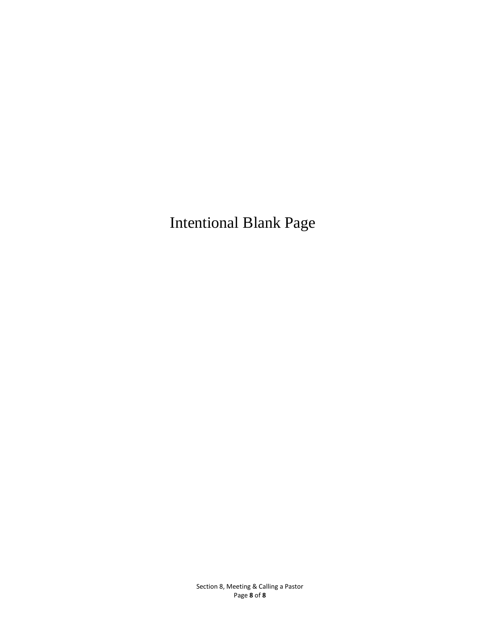Intentional Blank Page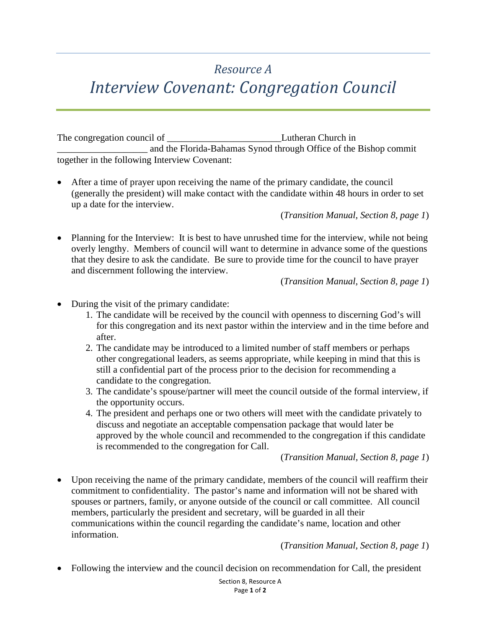## *Resource A*

# *Interview Covenant: Congregation Council*

The congregation council of Lutheran Church in \_\_\_\_\_\_\_\_\_\_\_\_\_\_\_\_\_\_\_ and the Florida-Bahamas Synod through Office of the Bishop commit together in the following Interview Covenant:

• After a time of prayer upon receiving the name of the primary candidate, the council (generally the president) will make contact with the candidate within 48 hours in order to set up a date for the interview.

(*Transition Manual, Section 8, page 1*)

• Planning for the Interview: It is best to have unrushed time for the interview, while not being overly lengthy. Members of council will want to determine in advance some of the questions that they desire to ask the candidate. Be sure to provide time for the council to have prayer and discernment following the interview.

(*Transition Manual, Section 8, page 1*)

- During the visit of the primary candidate:
	- 1. The candidate will be received by the council with openness to discerning God's will for this congregation and its next pastor within the interview and in the time before and after.
	- 2. The candidate may be introduced to a limited number of staff members or perhaps other congregational leaders, as seems appropriate, while keeping in mind that this is still a confidential part of the process prior to the decision for recommending a candidate to the congregation.
	- 3. The candidate's spouse/partner will meet the council outside of the formal interview, if the opportunity occurs.
	- 4. The president and perhaps one or two others will meet with the candidate privately to discuss and negotiate an acceptable compensation package that would later be approved by the whole council and recommended to the congregation if this candidate is recommended to the congregation for Call.

(*Transition Manual, Section 8, page 1*)

• Upon receiving the name of the primary candidate, members of the council will reaffirm their commitment to confidentiality. The pastor's name and information will not be shared with spouses or partners, family, or anyone outside of the council or call committee. All council members, particularly the president and secretary, will be guarded in all their communications within the council regarding the candidate's name, location and other information.

(*Transition Manual, Section 8, page 1*)

• Following the interview and the council decision on recommendation for Call, the president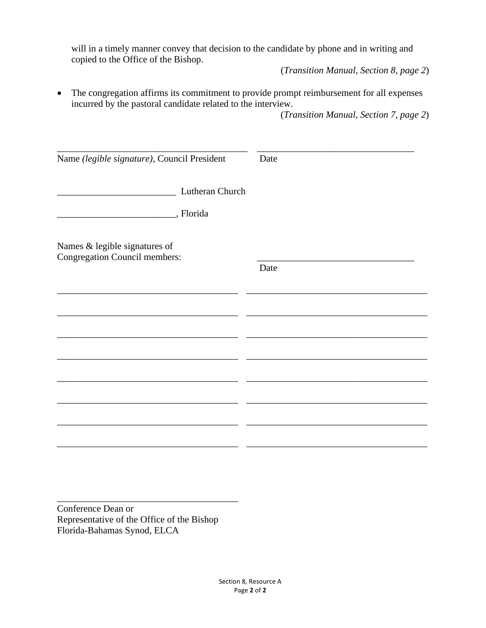will in a timely manner convey that decision to the candidate by phone and in writing and copied to the Office of the Bishop.

(*Transition Manual, Section 8, page 2*)

• The congregation affirms its commitment to provide prompt reimbursement for all expenses incurred by the pastoral candidate related to the interview.

(*Transition Manual, Section 7, page 2*)

| Date |
|------|
|      |
|      |
|      |
|      |
| Date |
|      |
|      |
|      |
|      |
|      |
|      |
|      |
|      |

Conference Dean or Representative of the Office of the Bishop Florida-Bahamas Synod, ELCA

\_\_\_\_\_\_\_\_\_\_\_\_\_\_\_\_\_\_\_\_\_\_\_\_\_\_\_\_\_\_\_\_\_\_\_\_\_\_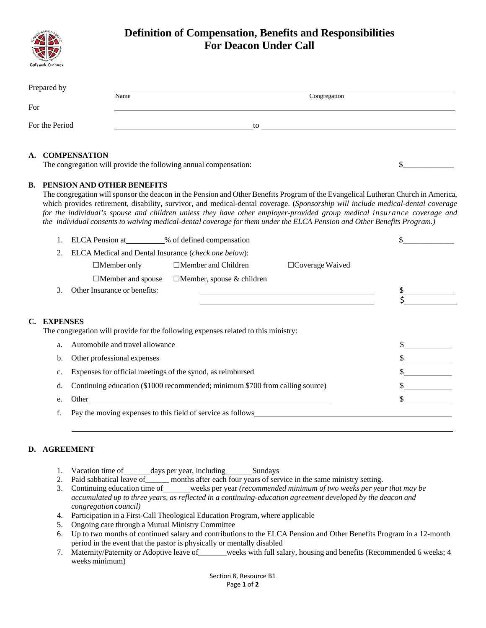

## **Definition of Compensation, Benefits and Responsibilities For Deacon Under Call**

| Prepared by    |      |              |
|----------------|------|--------------|
|                | Name | Congregation |
| For            |      |              |
|                |      |              |
| For the Period |      | to           |
|                |      |              |

#### **A. COMPENSATION**

The congregation will provide the following annual compensation:  $\frac{1}{2}$ 

#### **B. PENSION AND OTHER BENEFITS**

The congregation willsponsor the deacon in the Pension and Other Benefits Program of the Evangelical Lutheran Church in America, which provides retirement, disability, survivor, and medical-dental coverage. (*Sponsorship will include medical-dental coverage* for the individual's spouse and children unless they have other employer-provided group medical insurance coverage and the individual consents to waiving medical-dental coverage for them under the ELCA Pension and Other Benefits Program.)

|    |                       | ELCA Pension at % of defined compensation                   |                                                                                    |                        |  |
|----|-----------------------|-------------------------------------------------------------|------------------------------------------------------------------------------------|------------------------|--|
|    | 2.                    | ELCA Medical and Dental Insurance (check one below):        |                                                                                    |                        |  |
|    |                       | $\Box$ Member only                                          | $\Box$ Member and Children                                                         | $\Box$ Coverage Waived |  |
|    |                       | $\Box$ Member and spouse                                    | $\Box$ Member, spouse & children                                                   |                        |  |
|    | 3.                    | Other Insurance or benefits:                                |                                                                                    |                        |  |
|    |                       |                                                             |                                                                                    |                        |  |
| C. | <b>EXPENSES</b><br>a. | Automobile and travel allowance                             | The congregation will provide for the following expenses related to this ministry: |                        |  |
|    | b.                    | Other professional expenses                                 |                                                                                    |                        |  |
|    | c.                    | Expenses for official meetings of the synod, as reimbursed  |                                                                                    |                        |  |
|    | d.                    |                                                             | Continuing education (\$1000 recommended; minimum \$700 from calling source)       |                        |  |
|    | e.                    |                                                             |                                                                                    |                        |  |
|    |                       | Pay the moving expenses to this field of service as follows |                                                                                    |                        |  |

#### **D. AGREEMENT**

- 1. Vacation time of \_\_\_\_\_\_ days per year, including \_\_\_\_\_\_\_ Sundays
- 2. Paid sabbatical leave of\_\_\_\_\_\_ months after each four years of service in the same ministry setting.
- 3. Continuing education time of weeks per year *(recommended minimum of two weeks per year that may be accumulated up to three years, as reflected in a continuing-education agreement developed by the deacon and congregation council)*
- 4. Participation in a First-Call Theological Education Program, where applicable
- 5. Ongoing care through a Mutual Ministry Committee
- 6. Up to two months of continued salary and contributions to the ELCA Pension and Other Benefits Program in a 12-month period in the event that the pastor is physically or mentally disabled
- 7. Maternity/Paternity or Adoptive leave of weeks with full salary, housing and benefits (Recommended 6 weeks; 4 weeks minimum)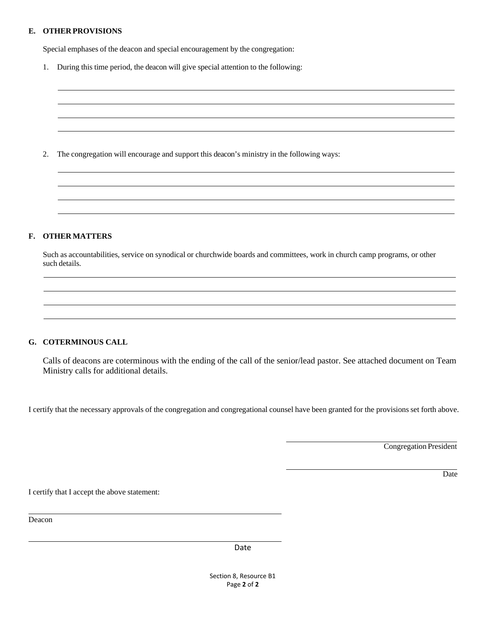#### **E. OTHER PROVISIONS**

Special emphases of the deacon and special encouragement by the congregation:

1. During this time period, the deacon will give special attention to the following:

2. The congregation will encourage and support this deacon's ministry in the following ways:

#### **F. OTHER MATTERS**

Such as accountabilities, service on synodical or churchwide boards and committees, work in church camp programs, or other such details.

#### **G. COTERMINOUS CALL**

Calls of deacons are coterminous with the ending of the call of the senior/lead pastor. See attached document on Team Ministry calls for additional details.

I certify that the necessary approvals of the congregation and congregational counsel have been granted for the provisionsset forth above.

Congregation President

Date

I certify that I accept the above statement:

Deacon

Date

Section 8, Resource B1 Page **2** of **2**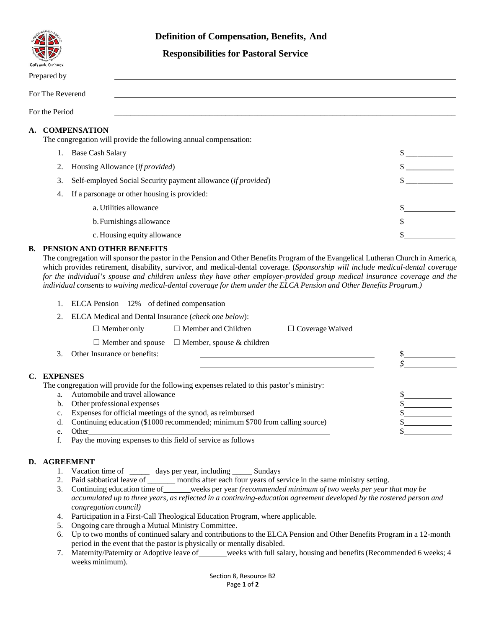

#### **Definition of Compensation, Benefits, And**

#### **Responsibilities for Pastoral Service**

| Prepared by                                                                                   |                                                               |  |  |
|-----------------------------------------------------------------------------------------------|---------------------------------------------------------------|--|--|
| For The Reverend                                                                              |                                                               |  |  |
| For the Period                                                                                |                                                               |  |  |
| <b>COMPENSATION</b><br>A.<br>The congregation will provide the following annual compensation: |                                                               |  |  |
|                                                                                               | <b>Base Cash Salary</b>                                       |  |  |
| 2.                                                                                            | Housing Allowance <i>(if provided)</i>                        |  |  |
| 3.                                                                                            | Self-employed Social Security payment allowance (if provided) |  |  |
| 4.                                                                                            | If a parsonage or other housing is provided:                  |  |  |
|                                                                                               | a. Utilities allowance                                        |  |  |
|                                                                                               | b. Furnishings allowance                                      |  |  |

c. Housing equity allowance  $\frac{1}{2}$ 

#### **B. PENSION AND OTHER BENEFITS**

The congregation will sponsor the pastor in the Pension and Other Benefits Program of the Evangelical Lutheran Church in America, which provides retirement, disability, survivor, and medical-dental coverage. (*Sponsorship will include medical-dental coverage* for the individual's spouse and children unless they have other employer-provided group medical insurance coverage and the individual consents to waiving medical-dental coverage for them under the ELCA Pension and Other Benefits Program.)

|    |                 | ELCA Pension 12% of defined compensation                                                    |                                  |                        |  |
|----|-----------------|---------------------------------------------------------------------------------------------|----------------------------------|------------------------|--|
|    | 2.              | ELCA Medical and Dental Insurance (check one below):                                        |                                  |                        |  |
|    |                 | $\Box$ Member only                                                                          | $\Box$ Member and Children       | $\Box$ Coverage Waived |  |
|    |                 | $\Box$ Member and spouse                                                                    | $\Box$ Member, spouse & children |                        |  |
|    | $3_{-}$         | Other Insurance or benefits:                                                                |                                  |                        |  |
|    |                 |                                                                                             |                                  |                        |  |
| C. | <b>EXPENSES</b> |                                                                                             |                                  |                        |  |
|    |                 | The congregation will provide for the following expenses related to this pastor's ministry: |                                  |                        |  |
|    | a.              | Automobile and travel allowance                                                             |                                  |                        |  |
|    | b.              | Other professional expenses                                                                 |                                  |                        |  |
|    | c.              | Expenses for official meetings of the synod, as reimbursed                                  |                                  |                        |  |
|    | d.              | Continuing education (\$1000 recommended; minimum \$700 from calling source)                |                                  |                        |  |
|    | e.              | Other                                                                                       |                                  |                        |  |
|    |                 | Pay the moving expenses to this field of service as follows                                 |                                  |                        |  |

#### **D. AGREEMENT**

- 1. Vacation time of \_\_\_\_\_ days per year, including \_\_\_\_\_\_\_ Sundays
- 2. Paid sabbatical leave of \_\_\_\_\_\_\_ months after each four years of service in the same ministry setting.
- 3. Continuing education time of weeks per year *(recommended minimum of two weeks per year that may be* accumulated up to three years, as reflected in a continuing-education agreement developed by the rostered person and *congregation council)*
- 4. Participation in a First-Call Theological Education Program, where applicable.
- 5. Ongoing care through a Mutual Ministry Committee.
- 6. Up to two months of continued salary and contributions to the ELCA Pension and Other Benefits Program in a 12-month period in the event that the pastor is physically or mentally disabled.
- 7. Maternity/Paternity or Adoptive leave of weeks with full salary, housing and benefits (Recommended 6 weeks; 4 weeks minimum).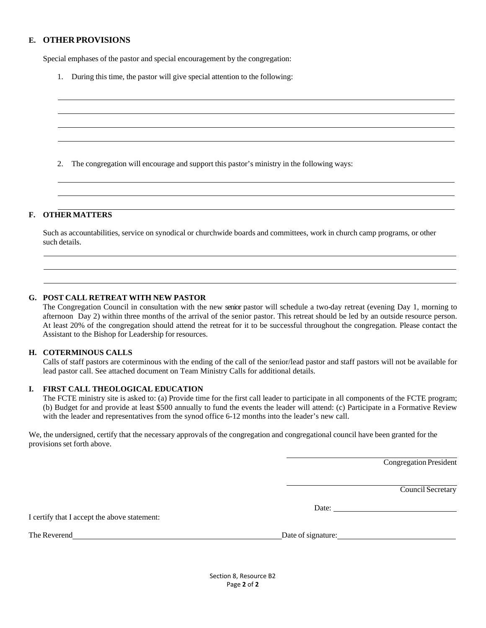#### **E. OTHER PROVISIONS**

Special emphases of the pastor and special encouragement by the congregation:

1. During this time, the pastor will give special attention to the following:

2. The congregation will encourage and support this pastor's ministry in the following ways:

#### **F. OTHER MATTERS**

Such as accountabilities, service on synodical or churchwide boards and committees, work in church camp programs, or other such details.

#### **G. POST CALL RETREAT WITH NEW PASTOR**

The Congregation Council in consultation with the new senior pastor will schedule a two-day retreat (evening Day 1, morning to afternoon Day 2) within three months of the arrival of the senior pastor. This retreat should be led by an outside resource person. At least 20% of the congregation should attend the retreat for it to be successful throughout the congregation. Please contact the Assistant to the Bishop for Leadership for resources.

#### **H. COTERMINOUS CALLS**

Calls of staff pastors are coterminous with the ending of the call of the senior/lead pastor and staff pastors will not be available for lead pastor call. See attached document on Team Ministry Calls for additional details.

#### **I. FIRST CALL THEOLOGICAL EDUCATION**

The FCTE ministry site is asked to: (a) Provide time for the first call leader to participate in all components of the FCTE program; (b) Budget for and provide at least \$500 annually to fund the events the leader will attend: (c) Participate in a Formative Review with the leader and representatives from the synod office 6-12 months into the leader's new call.

We, the undersigned, certify that the necessary approvals of the congregation and congregational council have been granted for the provisions set forth above.

Congregation President

Council Secretary

Date: **Date:** 

I certify that I accept the above statement:

The Reverend Date of signature:

Section 8, Resource B2 Page **2** of **2**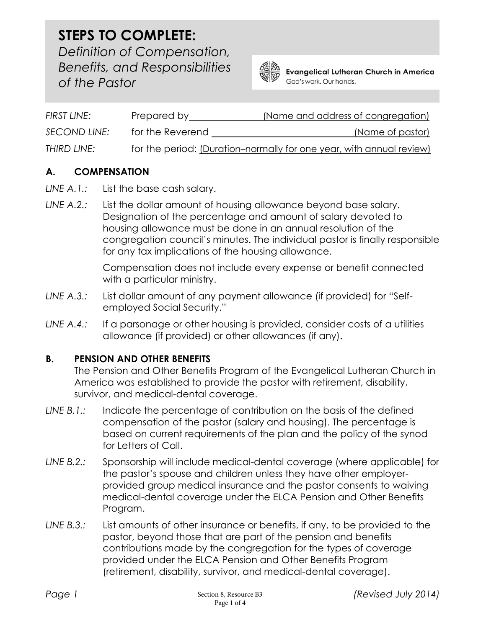of the Pastor STEPS TO COMPLETE: Definition of Compensation, Benefits, and Responsibilities



**Evangelical Lutheran Church in America** God's work. Our hands.

| FIRST LINE:         | Prepared by      | (Name and address of congregation)                                   |
|---------------------|------------------|----------------------------------------------------------------------|
| <b>SECOND LINE:</b> | for the Reverend | (Name of pastor)                                                     |
| THIRD LINE:         |                  | for the period: (Duration-normally for one year, with annual review) |

## A. COMPENSATION

- LINE A.1.: List the base cash salary.
- LINE A.2.: List the dollar amount of housing allowance beyond base salary. Designation of the percentage and amount of salary devoted to housing allowance must be done in an annual resolution of the congregation council's minutes. The individual pastor is finally responsible for any tax implications of the housing allowance.

Compensation does not include every expense or benefit connected with a particular ministry.

- LINE A.3.: List dollar amount of any payment allowance (if provided) for "Selfemployed Social Security."
- LINE A.4.: If a parsonage or other housing is provided, consider costs of a utilities allowance (if provided) or other allowances (if any).

## B. PENSION AND OTHER BENEFITS

The Pension and Other Benefits Program of the Evangelical Lutheran Church in America was established to provide the pastor with retirement, disability, survivor, and medical-dental coverage.

- LINE B.1.: Indicate the percentage of contribution on the basis of the defined compensation of the pastor (salary and housing). The percentage is based on current requirements of the plan and the policy of the synod for Letters of Call.
- LINE B.2.: Sponsorship will include medical-dental coverage (where applicable) for the pastor's spouse and children unless they have other employerprovided group medical insurance and the pastor consents to waiving medical-dental coverage under the ELCA Pension and Other Benefits Program.
- LINE B.3.: List amounts of other insurance or benefits, if any, to be provided to the pastor, beyond those that are part of the pension and benefits contributions made by the congregation for the types of coverage provided under the ELCA Pension and Other Benefits Program (retirement, disability, survivor, and medical-dental coverage).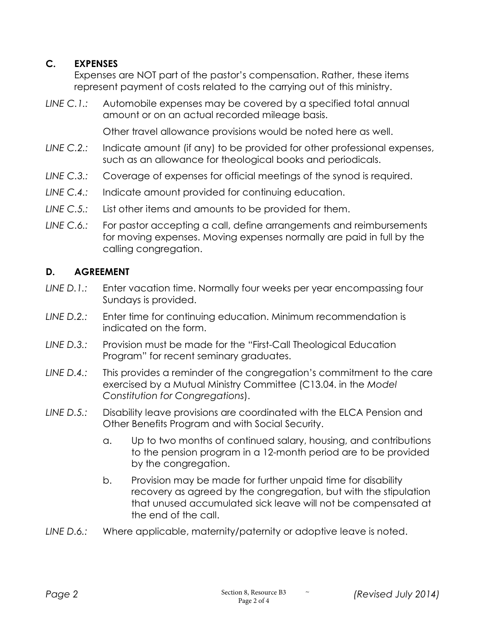## C. EXPENSES

Expenses are NOT part of the pastor's compensation. Rather, these items represent payment of costs related to the carrying out of this ministry.

LINE C.1.: Automobile expenses may be covered by a specified total annual amount or on an actual recorded mileage basis.

Other travel allowance provisions would be noted here as well.

- LINE C.2.: Indicate amount (if any) to be provided for other professional expenses, such as an allowance for theological books and periodicals.
- LINE C.3.: Coverage of expenses for official meetings of the synod is required.
- LINE C.4.: Indicate amount provided for continuing education.
- LINE C.5.: List other items and amounts to be provided for them.
- LINE C.6.: For pastor accepting a call, define arrangements and reimbursements for moving expenses. Moving expenses normally are paid in full by the calling congregation.

## D. AGREEMENT

- LINE D.1.: Enter vacation time. Normally four weeks per year encompassing four Sundays is provided.
- LINE D.2.: Enter time for continuing education. Minimum recommendation is indicated on the form.
- LINE D.3.: Provision must be made for the "First-Call Theological Education Program" for recent seminary graduates.
- LINE D.4.: This provides a reminder of the congregation's commitment to the care exercised by a Mutual Ministry Committee (C13.04. in the Model Constitution for Congregations).
- LINE D.5.: Disability leave provisions are coordinated with the ELCA Pension and Other Benefits Program and with Social Security.
	- a. Up to two months of continued salary, housing, and contributions to the pension program in a 12-month period are to be provided by the congregation.
	- b. Provision may be made for further unpaid time for disability recovery as agreed by the congregation, but with the stipulation that unused accumulated sick leave will not be compensated at the end of the call.
- LINE D.6.: Where applicable, maternity/paternity or adoptive leave is noted.

 $\sim$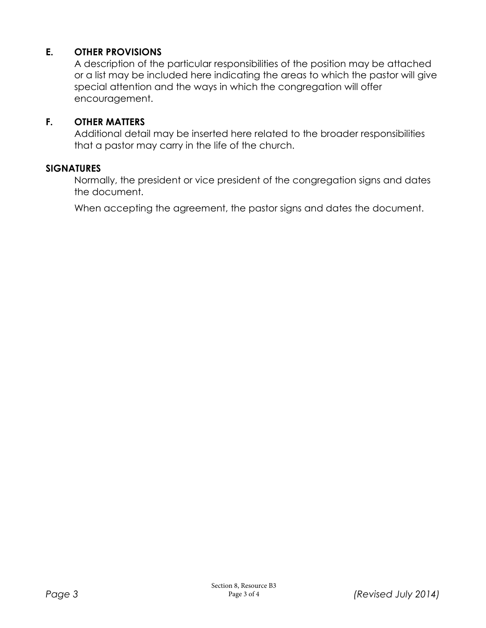## E. OTHER PROVISIONS

A description of the particular responsibilities of the position may be attached or a list may be included here indicating the areas to which the pastor will give special attention and the ways in which the congregation will offer encouragement.

### F. OTHER MATTERS

Additional detail may be inserted here related to the broader responsibilities that a pastor may carry in the life of the church.

### **SIGNATURES**

Normally, the president or vice president of the congregation signs and dates the document.

When accepting the agreement, the pastor signs and dates the document.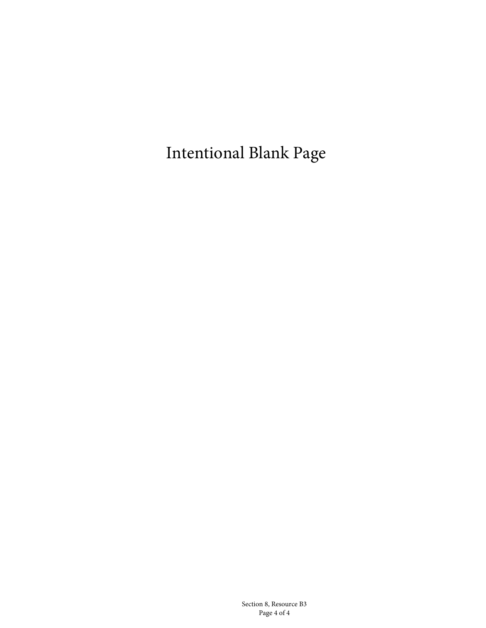Intentional Blank Page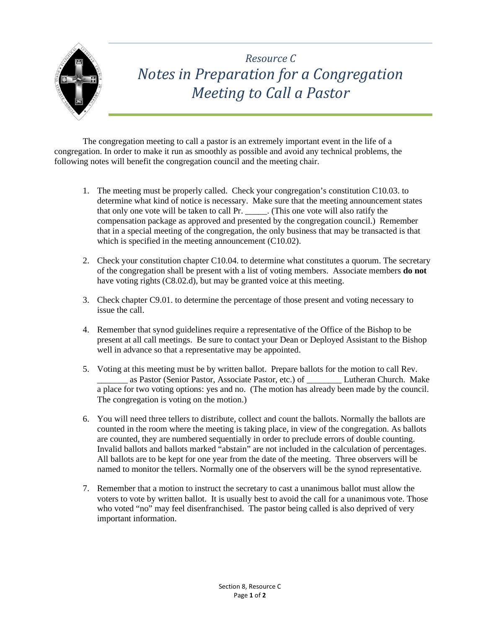

## *Resource C Notes in Preparation for a Congregation Meeting to Call a Pastor*

The congregation meeting to call a pastor is an extremely important event in the life of a congregation. In order to make it run as smoothly as possible and avoid any technical problems, the following notes will benefit the congregation council and the meeting chair.

- 1. The meeting must be properly called. Check your congregation's constitution C10.03. to determine what kind of notice is necessary. Make sure that the meeting announcement states that only one vote will be taken to call Pr. \_\_\_\_\_. (This one vote will also ratify the compensation package as approved and presented by the congregation council.) Remember that in a special meeting of the congregation, the only business that may be transacted is that which is specified in the meeting announcement (C10.02).
- 2. Check your constitution chapter C10.04. to determine what constitutes a quorum. The secretary of the congregation shall be present with a list of voting members. Associate members **do not** have voting rights (C8.02.d), but may be granted voice at this meeting.
- 3. Check chapter C9.01. to determine the percentage of those present and voting necessary to issue the call.
- 4. Remember that synod guidelines require a representative of the Office of the Bishop to be present at all call meetings. Be sure to contact your Dean or Deployed Assistant to the Bishop well in advance so that a representative may be appointed.
- 5. Voting at this meeting must be by written ballot. Prepare ballots for the motion to call Rev. as Pastor (Senior Pastor, Associate Pastor, etc.) of \_\_\_\_\_\_\_\_ Lutheran Church. Make a place for two voting options: yes and no. (The motion has already been made by the council. The congregation is voting on the motion.)
- 6. You will need three tellers to distribute, collect and count the ballots. Normally the ballots are counted in the room where the meeting is taking place, in view of the congregation. As ballots are counted, they are numbered sequentially in order to preclude errors of double counting. Invalid ballots and ballots marked "abstain" are not included in the calculation of percentages. All ballots are to be kept for one year from the date of the meeting. Three observers will be named to monitor the tellers. Normally one of the observers will be the synod representative.
- 7. Remember that a motion to instruct the secretary to cast a unanimous ballot must allow the voters to vote by written ballot. It is usually best to avoid the call for a unanimous vote. Those who voted "no" may feel disenfranchised. The pastor being called is also deprived of very important information.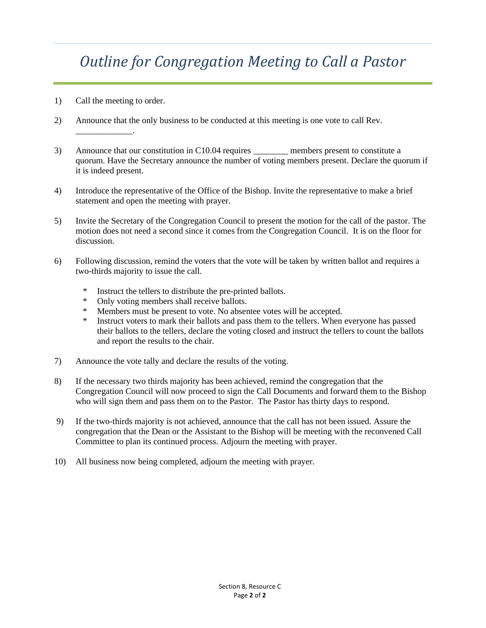# *Outline for Congregation Meeting to Call a Pastor*

1) Call the meeting to order.

\_\_\_\_\_\_\_\_\_\_\_\_\_.

- 2) Announce that the only business to be conducted at this meeting is one vote to call Rev.
- 3) Announce that our constitution in C10.04 requires \_\_\_\_\_\_\_\_ members present to constitute a quorum. Have the Secretary announce the number of voting members present. Declare the quorum if it is indeed present.
- 4) Introduce the representative of the Office of the Bishop. Invite the representative to make a brief statement and open the meeting with prayer.
- 5) Invite the Secretary of the Congregation Council to present the motion for the call of the pastor. The motion does not need a second since it comes from the Congregation Council. It is on the floor for discussion.
- 6) Following discussion, remind the voters that the vote will be taken by written ballot and requires a two-thirds majority to issue the call.
	- \* Instruct the tellers to distribute the pre-printed ballots.<br>\* Only voting members shall receive ballots.
	- Only voting members shall receive ballots.
	- \* Members must be present to vote. No absentee votes will be accepted.
	- Instruct voters to mark their ballots and pass them to the tellers. When everyone has passed their ballots to the tellers, declare the voting closed and instruct the tellers to count the ballots and report the results to the chair.
- 7) Announce the vote tally and declare the results of the voting.
- 8) If the necessary two thirds majority has been achieved, remind the congregation that the Congregation Council will now proceed to sign the Call Documents and forward them to the Bishop who will sign them and pass them on to the Pastor. The Pastor has thirty days to respond.
- 9) If the two-thirds majority is not achieved, announce that the call has not been issued. Assure the congregation that the Dean or the Assistant to the Bishop will be meeting with the reconvened Call Committee to plan its continued process. Adjourn the meeting with prayer.
- 10) All business now being completed, adjourn the meeting with prayer.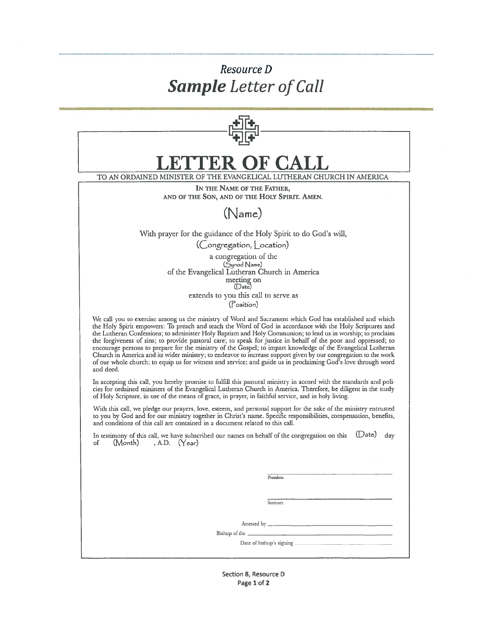## Resource D **Sample** Letter of Call

| <b>JETTER OF CALL</b>                                                                                                                                                                                                                                                                                                                                                                                                                                                                                                                                                                                                                                                                                                                                                                                                  |
|------------------------------------------------------------------------------------------------------------------------------------------------------------------------------------------------------------------------------------------------------------------------------------------------------------------------------------------------------------------------------------------------------------------------------------------------------------------------------------------------------------------------------------------------------------------------------------------------------------------------------------------------------------------------------------------------------------------------------------------------------------------------------------------------------------------------|
| TO AN ORDAINED MINISTER OF THE EVANGELICAL LUTHERAN CHURCH IN AMERICA                                                                                                                                                                                                                                                                                                                                                                                                                                                                                                                                                                                                                                                                                                                                                  |
| IN THE NAME OF THE FATHER,<br>AND OF THE SON, AND OF THE HOLY SPIRIT. AMEN.                                                                                                                                                                                                                                                                                                                                                                                                                                                                                                                                                                                                                                                                                                                                            |
| (Name)                                                                                                                                                                                                                                                                                                                                                                                                                                                                                                                                                                                                                                                                                                                                                                                                                 |
| With prayer for the guidance of the Holy Spirit to do God's will,<br>(Congregation, Location)                                                                                                                                                                                                                                                                                                                                                                                                                                                                                                                                                                                                                                                                                                                          |
| a congregation of the<br>(Synod Name)<br>of the Evangelical Lutheran Church in America<br>meeting on<br>(Date)                                                                                                                                                                                                                                                                                                                                                                                                                                                                                                                                                                                                                                                                                                         |
| extends to you this call to serve as<br>(Position)                                                                                                                                                                                                                                                                                                                                                                                                                                                                                                                                                                                                                                                                                                                                                                     |
| We call you to exercise among us the ministry of Word and Sacrament which God has established and which<br>the Holy Spirit empowers: To preach and teach the Word of God in accordance with the Holy Scriptures and<br>the Lutheran Confessions; to administer Holy Baptism and Holy Communion; to lead us in worship; to proclaim<br>the forgiveness of sins; to provide pastoral care; to speak for justice in behalf of the poor and oppressed; to<br>encourage persons to prepare for the ministry of the Gospel; to impart knowledge of the Evangelical Lutheran<br>Church in America and its wider ministry; to endeavor to increase support given by our congregation to the work<br>of our whole church; to equip us for witness and service; and guide us in proclaiming God's love through word<br>and deed. |
| In accepting this call, you hereby promise to fulfill this pastoral ministry in accord with the standards and poli-<br>cies for ordained ministers of the Evangelical Lutheran Church in America. Therefore, be diligent in the study<br>of Holy Scripture, in use of the means of grace, in prayer, in faithful service, and in holy living.                                                                                                                                                                                                                                                                                                                                                                                                                                                                          |
| With this call, we pledge our prayers, love, esteem, and personal support for the sake of the ministry entrusted<br>to you by God and for our ministry together in Christ's name. Specific responsibilities, compensation, benefits,<br>and conditions of this call are contained in a document related to this call.                                                                                                                                                                                                                                                                                                                                                                                                                                                                                                  |
| $(Date)$ day<br>In testimony of this call, we have subscribed our names on behalf of the congregation on this<br>$(Month)$ , A.D. $(Year)$<br>οf                                                                                                                                                                                                                                                                                                                                                                                                                                                                                                                                                                                                                                                                       |
|                                                                                                                                                                                                                                                                                                                                                                                                                                                                                                                                                                                                                                                                                                                                                                                                                        |
| President                                                                                                                                                                                                                                                                                                                                                                                                                                                                                                                                                                                                                                                                                                                                                                                                              |
| Secretary                                                                                                                                                                                                                                                                                                                                                                                                                                                                                                                                                                                                                                                                                                                                                                                                              |
|                                                                                                                                                                                                                                                                                                                                                                                                                                                                                                                                                                                                                                                                                                                                                                                                                        |
| Bishop of the _                                                                                                                                                                                                                                                                                                                                                                                                                                                                                                                                                                                                                                                                                                                                                                                                        |
|                                                                                                                                                                                                                                                                                                                                                                                                                                                                                                                                                                                                                                                                                                                                                                                                                        |
|                                                                                                                                                                                                                                                                                                                                                                                                                                                                                                                                                                                                                                                                                                                                                                                                                        |

Section 8, Resource D Page 1 of 2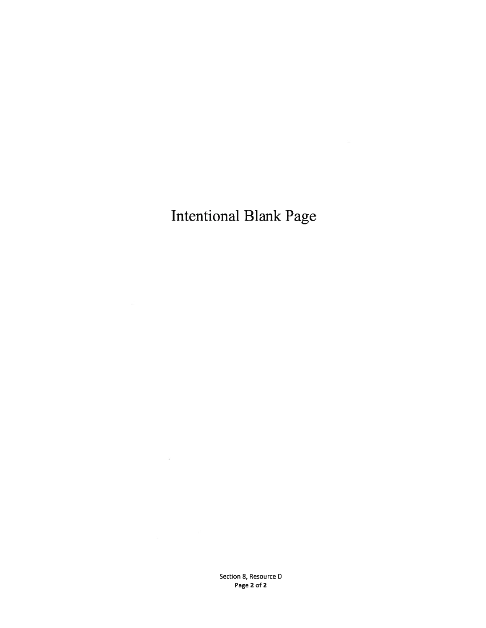# **Intentional Blank Page**

Section 8, Resource D Page 2 of 2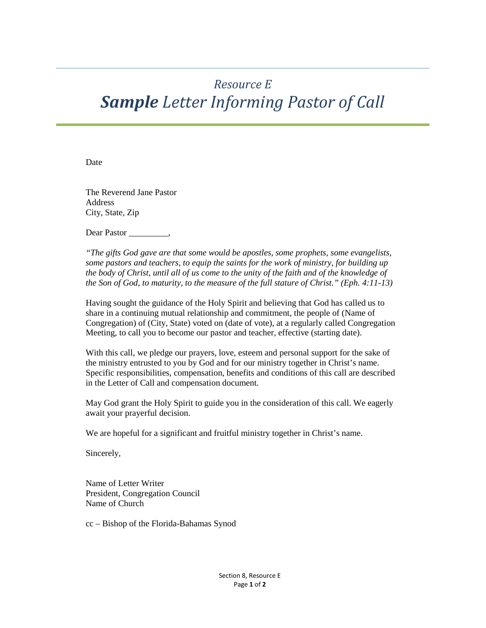## *Resource E Sample Letter Informing Pastor of Call*

Date

The Reverend Jane Pastor Address City, State, Zip

Dear Pastor

*"The gifts God gave are that some would be apostles, some prophets, some evangelists, some pastors and teachers, to equip the saints for the work of ministry, for building up the body of Christ, until all of us come to the unity of the faith and of the knowledge of the Son of God, to maturity, to the measure of the full stature of Christ." (Eph. 4:11-13)* 

Having sought the guidance of the Holy Spirit and believing that God has called us to share in a continuing mutual relationship and commitment, the people of (Name of Congregation) of (City, State) voted on (date of vote), at a regularly called Congregation Meeting, to call you to become our pastor and teacher, effective (starting date).

With this call, we pledge our prayers, love, esteem and personal support for the sake of the ministry entrusted to you by God and for our ministry together in Christ's name. Specific responsibilities, compensation, benefits and conditions of this call are described in the Letter of Call and compensation document.

May God grant the Holy Spirit to guide you in the consideration of this call. We eagerly await your prayerful decision.

We are hopeful for a significant and fruitful ministry together in Christ's name.

Sincerely,

Name of Letter Writer President, Congregation Council Name of Church

cc – Bishop of the Florida-Bahamas Synod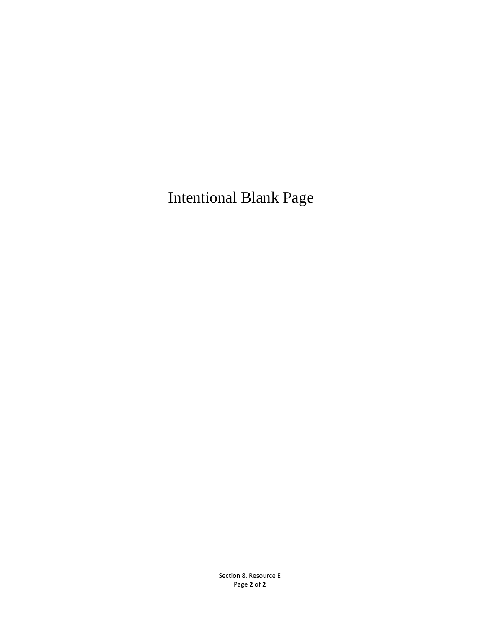Intentional Blank Page

Section 8, Resource E Page **2** of **2**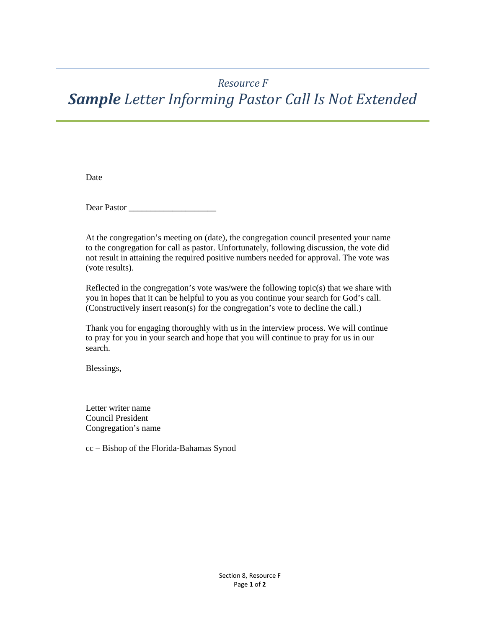## *Resource F*

# *Sample Letter Informing Pastor Call Is Not Extended*

Date

Dear Pastor \_\_\_\_\_\_\_\_\_\_\_\_\_\_\_\_\_\_\_\_

At the congregation's meeting on (date), the congregation council presented your name to the congregation for call as pastor. Unfortunately, following discussion, the vote did not result in attaining the required positive numbers needed for approval. The vote was (vote results).

Reflected in the congregation's vote was/were the following topic(s) that we share with you in hopes that it can be helpful to you as you continue your search for God's call. (Constructively insert reason(s) for the congregation's vote to decline the call.)

Thank you for engaging thoroughly with us in the interview process. We will continue to pray for you in your search and hope that you will continue to pray for us in our search.

Blessings,

Letter writer name Council President Congregation's name

cc – Bishop of the Florida-Bahamas Synod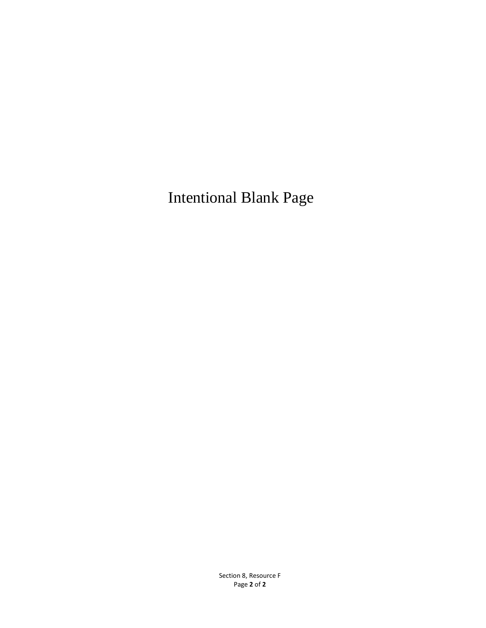Intentional Blank Page

Section 8, Resource F Page **2** of **2**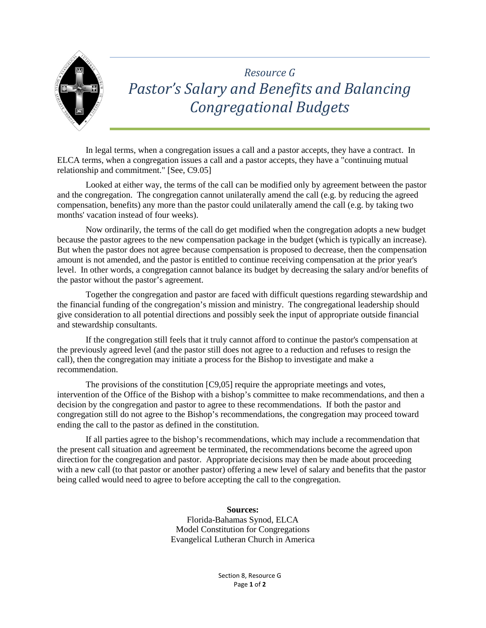

## *Resource G Pastor's Salary and Benefits and Balancing Congregational Budgets*

In legal terms, when a congregation issues a call and a pastor accepts, they have a contract. In ELCA terms, when a congregation issues a call and a pastor accepts, they have a "continuing mutual relationship and commitment." [See, C9.05]

Looked at either way, the terms of the call can be modified only by agreement between the pastor and the congregation. The congregation cannot unilaterally amend the call (e.g. by reducing the agreed compensation, benefits) any more than the pastor could unilaterally amend the call (e.g. by taking two months' vacation instead of four weeks).

Now ordinarily, the terms of the call do get modified when the congregation adopts a new budget because the pastor agrees to the new compensation package in the budget (which is typically an increase). But when the pastor does not agree because compensation is proposed to decrease, then the compensation amount is not amended, and the pastor is entitled to continue receiving compensation at the prior year's level. In other words, a congregation cannot balance its budget by decreasing the salary and/or benefits of the pastor without the pastor's agreement.

Together the congregation and pastor are faced with difficult questions regarding stewardship and the financial funding of the congregation's mission and ministry. The congregational leadership should give consideration to all potential directions and possibly seek the input of appropriate outside financial and stewardship consultants.

If the congregation still feels that it truly cannot afford to continue the pastor's compensation at the previously agreed level (and the pastor still does not agree to a reduction and refuses to resign the call), then the congregation may initiate a process for the Bishop to investigate and make a recommendation.

The provisions of the constitution [C9,05] require the appropriate meetings and votes, intervention of the Office of the Bishop with a bishop's committee to make recommendations, and then a decision by the congregation and pastor to agree to these recommendations. If both the pastor and congregation still do not agree to the Bishop's recommendations, the congregation may proceed toward ending the call to the pastor as defined in the constitution.

If all parties agree to the bishop's recommendations, which may include a recommendation that the present call situation and agreement be terminated, the recommendations become the agreed upon direction for the congregation and pastor. Appropriate decisions may then be made about proceeding with a new call (to that pastor or another pastor) offering a new level of salary and benefits that the pastor being called would need to agree to before accepting the call to the congregation.

#### **Sources:**

Florida-Bahamas Synod, ELCA Model Constitution for Congregations Evangelical Lutheran Church in America

> Section 8, Resource G Page **1** of **2**